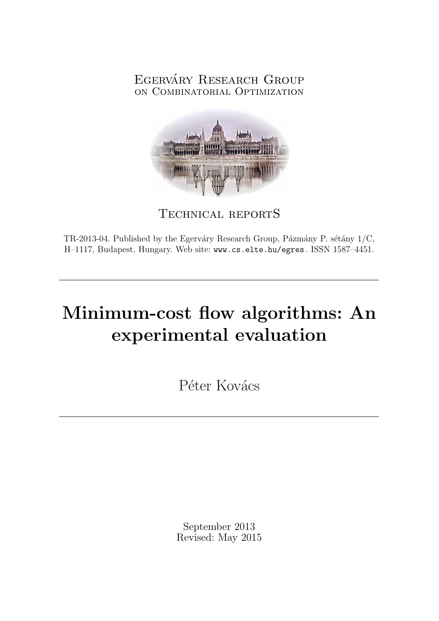## EGERVÁRY RESEARCH GROUP on Combinatorial Optimization



Technical reportS

TR-2013-04. Published by the Egerváry Research Group, Pázmány P. sétány  $1/C$ , H–1117, Budapest, Hungary. Web site: www.cs.elte.hu/egres . ISSN 1587–4451.

# Minimum-cost flow algorithms: An experimental evaluation

Péter Kovács

September 2013 Revised: May 2015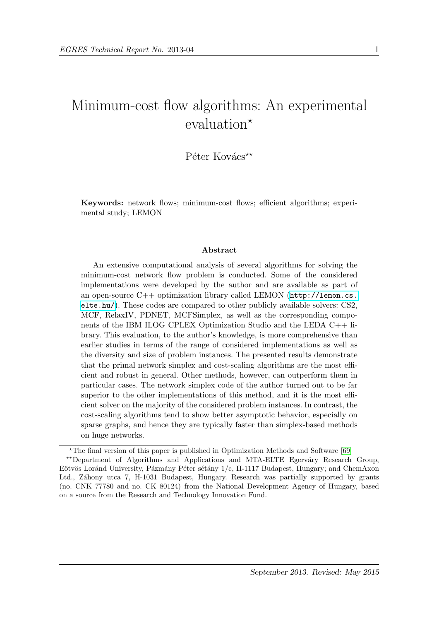## Minimum-cost flow algorithms: An experimental evaluation<sup>\*</sup>

## $P\acute{e}$ ter Kovács<sup>\*\*</sup>

Keywords: network flows; minimum-cost flows; efficient algorithms; experimental study; LEMON

#### Abstract

An extensive computational analysis of several algorithms for solving the minimum-cost network flow problem is conducted. Some of the considered implementations were developed by the author and are available as part of an open-source  $C++$  optimization library called LEMON ([http://lemon.cs.](http://lemon.cs.elte.hu/) [elte.hu/](http://lemon.cs.elte.hu/)). These codes are compared to other publicly available solvers: CS2, MCF, RelaxIV, PDNET, MCFSimplex, as well as the corresponding components of the IBM ILOG CPLEX Optimization Studio and the LEDA C++ library. This evaluation, to the author's knowledge, is more comprehensive than earlier studies in terms of the range of considered implementations as well as the diversity and size of problem instances. The presented results demonstrate that the primal network simplex and cost-scaling algorithms are the most efficient and robust in general. Other methods, however, can outperform them in particular cases. The network simplex code of the author turned out to be far superior to the other implementations of this method, and it is the most efficient solver on the majority of the considered problem instances. In contrast, the cost-scaling algorithms tend to show better asymptotic behavior, especially on sparse graphs, and hence they are typically faster than simplex-based methods on huge networks.

<sup>?</sup>The final version of this paper is published in Optimization Methods and Software [\[69\]](#page-36-0) \*\*Department of Algorithms and Applications and MTA-ELTE Egerváry Research Group, Eötvös Loránd University, Pázmány Péter sétány 1/c, H-1117 Budapest, Hungary; and ChemAxon Ltd., Záhony utca 7, H-1031 Budapest, Hungary. Research was partially supported by grants (no. CNK 77780 and no. CK 80124) from the National Development Agency of Hungary, based

on a source from the Research and Technology Innovation Fund.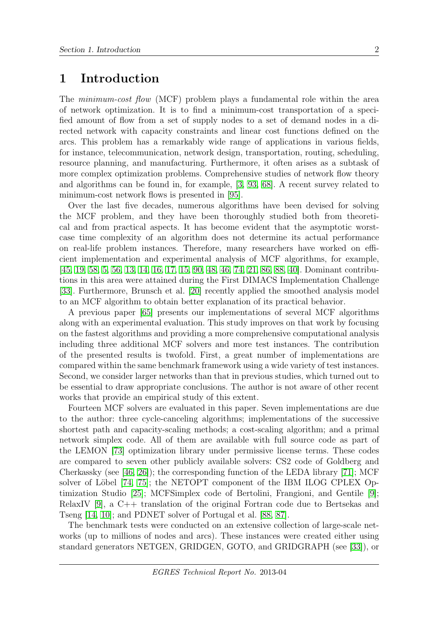## 1 Introduction

The *minimum-cost flow* (MCF) problem plays a fundamental role within the area of network optimization. It is to find a minimum-cost transportation of a specified amount of flow from a set of supply nodes to a set of demand nodes in a directed network with capacity constraints and linear cost functions defined on the arcs. This problem has a remarkably wide range of applications in various fields, for instance, telecommunication, network design, transportation, routing, scheduling, resource planning, and manufacturing. Furthermore, it often arises as a subtask of more complex optimization problems. Comprehensive studies of network flow theory and algorithms can be found in, for example, [\[3,](#page-32-0) [93,](#page-38-0) [68\]](#page-36-1). A recent survey related to minimum-cost network flows is presented in [\[95\]](#page-38-1).

Over the last five decades, numerous algorithms have been devised for solving the MCF problem, and they have been thoroughly studied both from theoretical and from practical aspects. It has become evident that the asymptotic worstcase time complexity of an algorithm does not determine its actual performance on real-life problem instances. Therefore, many researchers have worked on efficient implementation and experimental analysis of MCF algorithms, for example, [\[45,](#page-35-0) [19,](#page-33-0) [58,](#page-36-2) [5,](#page-32-1) [56,](#page-36-3) [13,](#page-33-1) [14,](#page-33-2) [16,](#page-33-3) [17,](#page-33-4) [15,](#page-33-5) [90,](#page-38-2) [48,](#page-35-1) [46,](#page-35-2) [74,](#page-37-0) [21,](#page-33-6) [86,](#page-38-3) [88,](#page-38-4) [40\]](#page-34-0). Dominant contributions in this area were attained during the First DIMACS Implementation Challenge [\[33\]](#page-34-1). Furthermore, Brunsch et al. [\[20\]](#page-33-7) recently applied the smoothed analysis model to an MCF algorithm to obtain better explanation of its practical behavior.

A previous paper [\[65\]](#page-36-4) presents our implementations of several MCF algorithms along with an experimental evaluation. This study improves on that work by focusing on the fastest algorithms and providing a more comprehensive computational analysis including three additional MCF solvers and more test instances. The contribution of the presented results is twofold. First, a great number of implementations are compared within the same benchmark framework using a wide variety of test instances. Second, we consider larger networks than that in previous studies, which turned out to be essential to draw appropriate conclusions. The author is not aware of other recent works that provide an empirical study of this extent.

Fourteen MCF solvers are evaluated in this paper. Seven implementations are due to the author: three cycle-canceling algorithms; implementations of the successive shortest path and capacity-scaling methods; a cost-scaling algorithm; and a primal network simplex code. All of them are available with full source code as part of the LEMON [\[73\]](#page-37-1) optimization library under permissive license terms. These codes are compared to seven other publicly available solvers: CS2 code of Goldberg and Cherkassky (see [\[46,](#page-35-2) [26\]](#page-33-8)); the corresponding function of the LEDA library [\[71\]](#page-37-2); MCF solver of Löbel  $[74, 75]$  $[74, 75]$ ; the NETOPT component of the IBM ILOG CPLEX Optimization Studio [\[25\]](#page-33-9); MCFSimplex code of Bertolini, Frangioni, and Gentile [\[9\]](#page-32-2); RelaxIV [\[9\]](#page-32-2), a C++ translation of the original Fortran code due to Bertsekas and Tseng [\[14,](#page-33-2) [10\]](#page-32-3); and PDNET solver of Portugal et al. [\[88,](#page-38-4) [87\]](#page-38-5).

The benchmark tests were conducted on an extensive collection of large-scale networks (up to millions of nodes and arcs). These instances were created either using standard generators NETGEN, GRIDGEN, GOTO, and GRIDGRAPH (see [\[33\]](#page-34-1)), or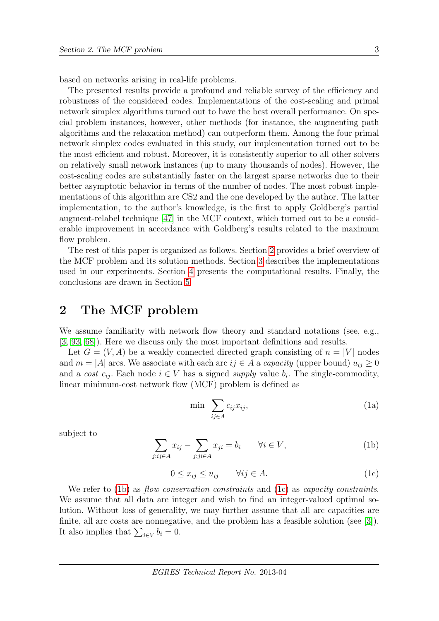based on networks arising in real-life problems.

The presented results provide a profound and reliable survey of the efficiency and robustness of the considered codes. Implementations of the cost-scaling and primal network simplex algorithms turned out to have the best overall performance. On special problem instances, however, other methods (for instance, the augmenting path algorithms and the relaxation method) can outperform them. Among the four primal network simplex codes evaluated in this study, our implementation turned out to be the most efficient and robust. Moreover, it is consistently superior to all other solvers on relatively small network instances (up to many thousands of nodes). However, the cost-scaling codes are substantially faster on the largest sparse networks due to their better asymptotic behavior in terms of the number of nodes. The most robust implementations of this algorithm are CS2 and the one developed by the author. The latter implementation, to the author's knowledge, is the first to apply Goldberg's partial augment-relabel technique [\[47\]](#page-35-3) in the MCF context, which turned out to be a considerable improvement in accordance with Goldberg's results related to the maximum flow problem.

The rest of this paper is organized as follows. Section [2](#page-3-0) provides a brief overview of the MCF problem and its solution methods. Section [3](#page-5-0) describes the implementations used in our experiments. Section [4](#page-17-0) presents the computational results. Finally, the conclusions are drawn in Section [5.](#page-31-0)

## <span id="page-3-0"></span>2 The MCF problem

We assume familiarity with network flow theory and standard notations (see, e.g., [\[3,](#page-32-0) [93,](#page-38-0) [68\]](#page-36-1)). Here we discuss only the most important definitions and results.

Let  $G = (V, A)$  be a weakly connected directed graph consisting of  $n = |V|$  nodes and  $m = |A|$  arcs. We associate with each arc  $ij \in A$  a *capacity* (upper bound)  $u_{ij} \geq 0$ and a cost  $c_{ij}$ . Each node  $i \in V$  has a signed supply value  $b_i$ . The single-commodity, linear minimum-cost network flow (MCF) problem is defined as

$$
\min \sum_{ij \in A} c_{ij} x_{ij},\tag{1a}
$$

<span id="page-3-2"></span><span id="page-3-1"></span>subject to

$$
\sum_{j:ij\in A} x_{ij} - \sum_{j:ji\in A} x_{ji} = b_i \qquad \forall i \in V,
$$
\n(1b)

$$
0 \le x_{ij} \le u_{ij} \qquad \forall ij \in A. \tag{1c}
$$

We refer to [\(1b\)](#page-3-1) as *flow conservation constraints* and [\(1c\)](#page-3-2) as *capacity constraints*. We assume that all data are integer and wish to find an integer-valued optimal solution. Without loss of generality, we may further assume that all arc capacities are finite, all arc costs are nonnegative, and the problem has a feasible solution (see [\[3\]](#page-32-0)). It also implies that  $\sum_{i\in V} b_i = 0$ .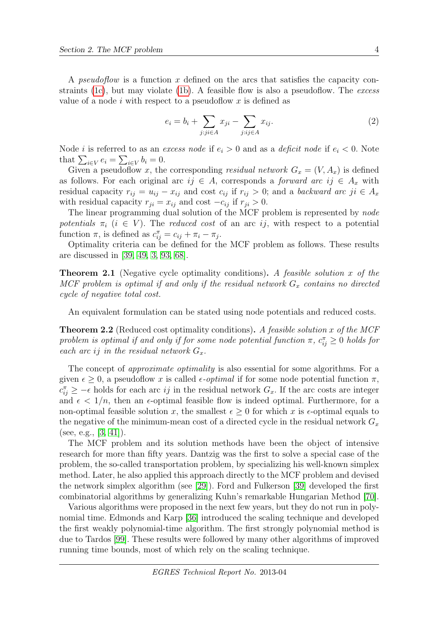A *pseudoflow* is a function x defined on the arcs that satisfies the capacity con-straints [\(1c\)](#page-3-2), but may violate [\(1b\)](#page-3-1). A feasible flow is also a pseudoflow. The excess value of a node i with respect to a pseudoflow x is defined as

$$
e_i = b_i + \sum_{j:j \in A} x_{ji} - \sum_{j:ij \in A} x_{ij}.
$$
\n
$$
(2)
$$

Node *i* is referred to as an *excess node* if  $e_i > 0$  and as a *deficit node* if  $e_i < 0$ . Note that  $\sum_{i\in V} e_i = \sum_{i\in V} b_i = 0.$ 

Given a pseudoflow x, the corresponding residual network  $G_x = (V, A_x)$  is defined as follows. For each original arc  $ij \in A$ , corresponds a *forward arc ij*  $\in A_x$  with residual capacity  $r_{ij} = u_{ij} - x_{ij}$  and cost  $c_{ij}$  if  $r_{ij} > 0$ ; and a backward arc ji  $\in A_x$ with residual capacity  $r_{ji} = x_{ij}$  and cost  $-c_{ij}$  if  $r_{ji} > 0$ .

The linear programming dual solution of the MCF problem is represented by node potentials  $\pi_i$  (i  $\in V$ ). The reduced cost of an arc ij, with respect to a potential function  $\pi$ , is defined as  $c_{ij}^{\pi} = c_{ij} + \pi_i - \pi_j$ .

Optimality criteria can be defined for the MCF problem as follows. These results are discussed in [\[39,](#page-34-2) [49,](#page-35-4) [3,](#page-32-0) [93,](#page-38-0) [68\]](#page-36-1).

<span id="page-4-0"></span>**Theorem 2.1** (Negative cycle optimality conditions). A feasible solution x of the MCF problem is optimal if and only if the residual network  $G_x$  contains no directed cycle of negative total cost.

An equivalent formulation can be stated using node potentials and reduced costs.

<span id="page-4-1"></span>**Theorem 2.2** (Reduced cost optimality conditions). A feasible solution x of the MCF problem is optimal if and only if for some node potential function  $\pi$ ,  $c_{ij}^{\pi} \geq 0$  holds for each arc ij in the residual network  $G_x$ .

The concept of *approximate optimality* is also essential for some algorithms. For a given  $\epsilon \geq 0$ , a pseudoflow x is called  $\epsilon$ -*optimal* if for some node potential function  $\pi$ ,  $c_{ij}^{\pi} \geq -\epsilon$  holds for each arc *ij* in the residual network  $G_x$ . If the arc costs are integer and  $\epsilon < 1/n$ , then an  $\epsilon$ -optimal feasible flow is indeed optimal. Furthermore, for a non-optimal feasible solution x, the smallest  $\epsilon \geq 0$  for which x is  $\epsilon$ -optimal equals to the negative of the minimum-mean cost of a directed cycle in the residual network  $G_x$ (see, e.g., [\[3,](#page-32-0) [41\]](#page-34-3)).

The MCF problem and its solution methods have been the object of intensive research for more than fifty years. Dantzig was the first to solve a special case of the problem, the so-called transportation problem, by specializing his well-known simplex method. Later, he also applied this approach directly to the MCF problem and devised the network simplex algorithm (see [\[29\]](#page-34-4)). Ford and Fulkerson [\[39\]](#page-34-2) developed the first combinatorial algorithms by generalizing Kuhn's remarkable Hungarian Method [\[70\]](#page-37-4).

Various algorithms were proposed in the next few years, but they do not run in polynomial time. Edmonds and Karp [\[36\]](#page-34-5) introduced the scaling technique and developed the first weakly polynomial-time algorithm. The first strongly polynomial method is due to Tardos [\[99\]](#page-38-6). These results were followed by many other algorithms of improved running time bounds, most of which rely on the scaling technique.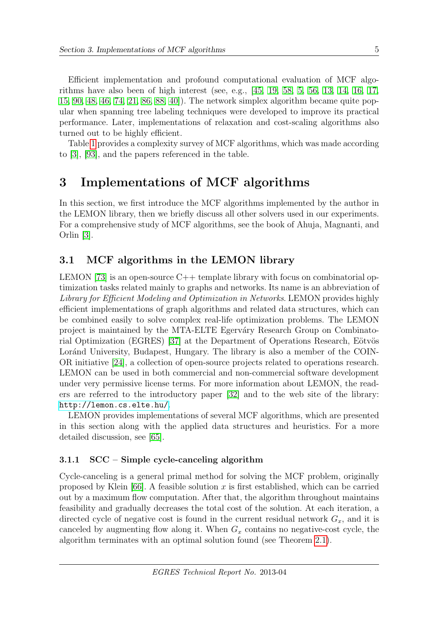Efficient implementation and profound computational evaluation of MCF algorithms have also been of high interest (see, e.g., [\[45,](#page-35-0) [19,](#page-33-0) [58,](#page-36-2) [5,](#page-32-1) [56,](#page-36-3) [13,](#page-33-1) [14,](#page-33-2) [16,](#page-33-3) [17,](#page-33-4) [15,](#page-33-5) [90,](#page-38-2) [48,](#page-35-1) [46,](#page-35-2) [74,](#page-37-0) [21,](#page-33-6) [86,](#page-38-3) [88,](#page-38-4) [40\]](#page-34-0)). The network simplex algorithm became quite popular when spanning tree labeling techniques were developed to improve its practical performance. Later, implementations of relaxation and cost-scaling algorithms also turned out to be highly efficient.

Table [1](#page-6-0) provides a complexity survey of MCF algorithms, which was made according to [\[3\]](#page-32-0), [\[93\]](#page-38-0), and the papers referenced in the table.

## <span id="page-5-0"></span>3 Implementations of MCF algorithms

In this section, we first introduce the MCF algorithms implemented by the author in the LEMON library, then we briefly discuss all other solvers used in our experiments. For a comprehensive study of MCF algorithms, see the book of Ahuja, Magnanti, and Orlin [\[3\]](#page-32-0).

## <span id="page-5-1"></span>3.1 MCF algorithms in the LEMON library

LEMON [\[73\]](#page-37-1) is an open-source  $C++$  template library with focus on combinatorial optimization tasks related mainly to graphs and networks. Its name is an abbreviation of Library for Efficient Modeling and Optimization in Networks. LEMON provides highly efficient implementations of graph algorithms and related data structures, which can be combined easily to solve complex real-life optimization problems. The LEMON project is maintained by the MTA-ELTE Egerváry Research Group on Combinato-rial Optimization (EGRES) [\[37\]](#page-34-6) at the Department of Operations Research, Eötvös Loránd University, Budapest, Hungary. The library is also a member of the COIN-OR initiative [\[24\]](#page-33-10), a collection of open-source projects related to operations research. LEMON can be used in both commercial and non-commercial software development under very permissive license terms. For more information about LEMON, the readers are referred to the introductory paper [\[32\]](#page-34-7) and to the web site of the library: <http://lemon.cs.elte.hu/>.

LEMON provides implementations of several MCF algorithms, which are presented in this section along with the applied data structures and heuristics. For a more detailed discussion, see [\[65\]](#page-36-4).

### 3.1.1 SCC – Simple cycle-canceling algorithm

Cycle-canceling is a general primal method for solving the MCF problem, originally proposed by Klein [\[66\]](#page-36-5). A feasible solution x is first established, which can be carried out by a maximum flow computation. After that, the algorithm throughout maintains feasibility and gradually decreases the total cost of the solution. At each iteration, a directed cycle of negative cost is found in the current residual network  $G_x$ , and it is canceled by augmenting flow along it. When  $G_x$  contains no negative-cost cycle, the algorithm terminates with an optimal solution found (see Theorem [2.1\)](#page-4-0).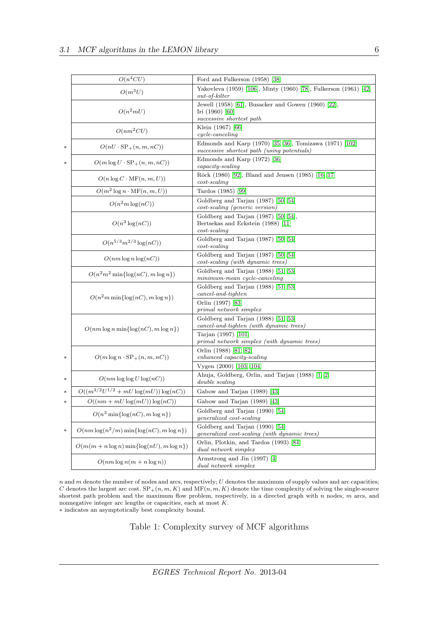|                  | $O(n^4CU)$                                      | Ford and Fulkerson (1958) [38]                                                                         |
|------------------|-------------------------------------------------|--------------------------------------------------------------------------------------------------------|
|                  | $O(m^3U)$                                       | Yakovleva (1959) [106], Minty (1960) [78], Fulkerson (1961) [42]<br>$out-of-kilter$                    |
|                  | $O(n^2mU)$                                      | Jewell (1958) [61], Busacker and Gowen (1960) [22],<br>Iri (1960) [60]<br>successive shortest path     |
|                  | $O(nm^2CU)$                                     | Klein (1967) [66]<br>$cycle\text{-}canceling$                                                          |
| *                | $O(nU \cdot \text{SP}_+(n, m, nC))$             | Edmonds and Karp (1970) [35, 36], Tomizawa (1971) [102]<br>successive shortest path (using potentials) |
| $\ast$           | $O(m \log U \cdot \text{SP}_+(n, m, nC))$       | Edmonds and Karp (1972) [36]<br>$capacity$ -scaling                                                    |
|                  | $O(n \log C \cdot \text{MF}(n, m, U))$          | Röck (1980) [92], Bland and Jensen (1985) [16, 17]<br>$cost\text{-}scaling$                            |
|                  | $O(m^2 \log n \cdot \text{MF}(n, m, U))$        | Tardos (1985) [99]                                                                                     |
|                  | $O(n^2m \log(nC))$                              | Goldberg and Tarjan (1987) [50, 54]<br>cost-scaling (generic version)                                  |
|                  | $O(n^3 \log(nC))$                               | Goldberg and Tarjan $(1987)$ [50, 54],<br>Bertsekas and Eckstein (1988) [11]<br>$cost\text{-}scaling$  |
|                  | $O(n^{5/3}m^{2/3}\log(nC))$                     | Goldberg and Tarjan (1987) [50, 54]<br>$cost\text{-}scaling$                                           |
|                  | $O(nm \log n \log(nC))$                         | Goldberg and Tarjan (1987) [50, 54]<br>$cost\text{-}scaling (with dynamic trees)$                      |
|                  | $O(n^2m^2\min\{\log(nC), m\log n\})$            | Goldberg and Tarjan (1988) [51, 53]<br>minimum-mean cycle-canceling                                    |
|                  | $O(n^2m \min\{\log(nC), m \log n\})$            | Goldberg and Tarjan (1988) [51, 53]<br>$cancel-and-tighten$                                            |
|                  |                                                 | Orlin (1997) [83]<br>primal network simplex                                                            |
|                  | $O(nm \log n \min\{\log(nC), m \log n\})$       | Goldberg and Tarjan (1988) [51, 53]<br>cancel-and-tighten (with dynamic trees)                         |
|                  |                                                 | Tarjan (1997) [101]<br>primal network simplex (with dynamic trees)                                     |
| $\ast$           | $O(m \log n \cdot \text{SP}_+(n, m, nC))$       | Orlin (1988) [81, 82]<br>enhanced capacity-scaling                                                     |
| $\ast$           | $O(nm \log \log U \log(nC))$                    | Vygen (2000) [103, 104]<br>Ahuja, Goldberg, Orlin, and Tarjan (1988) [1, 2]                            |
|                  | $O((m^{3/2}U^{1/2} + mU\log(mU))\log(nC))$      | double scaling                                                                                         |
| $\ast$<br>$\ast$ | $O((nm + mU \log(mU)) \log(nC))$                | Gabow and Tarjan (1989) [43]<br>Gabow and Tarjan (1989) [43]                                           |
|                  |                                                 | Goldberg and Tarjan (1990) [54]                                                                        |
|                  | $O(n^3 \min\{\log(nC), m \log n\})$             | <i>generalized</i> cost-scaling                                                                        |
| *                | $O(nm \log(n^2/m) \min\{\log(nC), m \log n\})$  | Goldberg and Tarjan (1990) [54]<br>generalized cost-scaling (with dynamic trees)                       |
|                  | $O(m(m + n \log n) \min\{\log(nU), m \log n\})$ | Orlin, Plotkin, and Tardos (1993) [84]<br>dual network simplex                                         |
|                  | $O(nm \log n(m + n \log n))$                    | Armstrong and Jin (1997) [4]<br>dual network simplex                                                   |

 $n$  and  $m$  denote the number of nodes and arcs, respectively;  $U$  denotes the maximum of supply values and arc capacities; C denotes the largest arc cost.  $SP_{+}(n, m, K)$  and  $MF(n, m, K)$  denote the time complexity of solving the single-source shortest path problem and the maximum flow problem, respectively, in a directed graph with  $n$  nodes,  $m$  arcs, and nonnegative integer arc lengths or capacities, each at most  $K$ .  $\ast$  indicates an asymptotically best complexity bound.

<span id="page-6-0"></span>Table 1: Complexity survey of MCF algorithms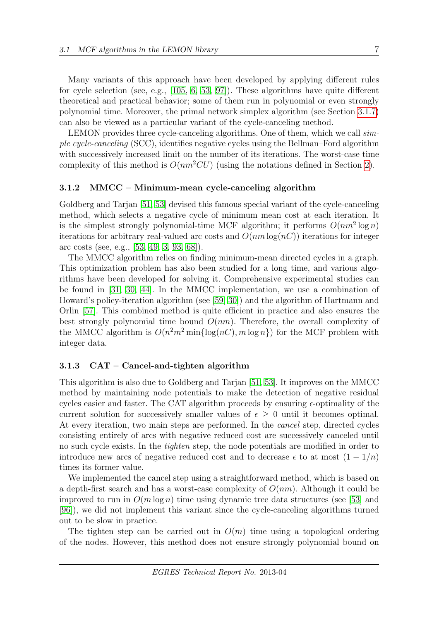Many variants of this approach have been developed by applying different rules for cycle selection (see, e.g., [\[105,](#page-39-5) [6,](#page-32-8) [53,](#page-35-8) [97\]](#page-38-8)). These algorithms have quite different theoretical and practical behavior; some of them run in polynomial or even strongly polynomial time. Moreover, the primal network simplex algorithm (see Section [3.1.7\)](#page-12-0) can also be viewed as a particular variant of the cycle-canceling method.

LEMON provides three cycle-canceling algorithms. One of them, which we call  $sim$ ple cycle-canceling (SCC), identifies negative cycles using the Bellman–Ford algorithm with successively increased limit on the number of its iterations. The worst-case time complexity of this method is  $O(nm^2CU)$  (using the notations defined in Section [2\)](#page-3-0).

### 3.1.2 MMCC – Minimum-mean cycle-canceling algorithm

Goldberg and Tarjan [\[51,](#page-35-7) [53\]](#page-35-8) devised this famous special variant of the cycle-canceling method, which selects a negative cycle of minimum mean cost at each iteration. It is the simplest strongly polynomial-time MCF algorithm; it performs  $O(nm^2 \log n)$ iterations for arbitrary real-valued arc costs and  $O(nm \log(nC))$  iterations for integer arc costs (see, e.g., [\[53,](#page-35-8) [49,](#page-35-4) [3,](#page-32-0) [93,](#page-38-0) [68\]](#page-36-1)).

The MMCC algorithm relies on finding minimum-mean directed cycles in a graph. This optimization problem has also been studied for a long time, and various algorithms have been developed for solving it. Comprehensive experimental studies can be found in [\[31,](#page-34-10) [30,](#page-34-11) [44\]](#page-35-10). In the MMCC implementation, we use a combination of Howard's policy-iteration algorithm (see [\[59,](#page-36-9) [30\]](#page-34-11)) and the algorithm of Hartmann and Orlin [\[57\]](#page-36-10). This combined method is quite efficient in practice and also ensures the best strongly polynomial time bound  $O(nm)$ . Therefore, the overall complexity of the MMCC algorithm is  $O(n^2m^2 \min{\{\log(nC), m \log n\}})$  for the MCF problem with integer data.

#### 3.1.3 CAT – Cancel-and-tighten algorithm

This algorithm is also due to Goldberg and Tarjan [\[51,](#page-35-7) [53\]](#page-35-8). It improves on the MMCC method by maintaining node potentials to make the detection of negative residual cycles easier and faster. The CAT algorithm proceeds by ensuring  $\epsilon$ -optimality of the current solution for successively smaller values of  $\epsilon \geq 0$  until it becomes optimal. At every iteration, two main steps are performed. In the cancel step, directed cycles consisting entirely of arcs with negative reduced cost are successively canceled until no such cycle exists. In the tighten step, the node potentials are modified in order to introduce new arcs of negative reduced cost and to decrease  $\epsilon$  to at most  $(1 - 1/n)$ times its former value.

We implemented the cancel step using a straightforward method, which is based on a depth-first search and has a worst-case complexity of  $O(nm)$ . Although it could be improved to run in  $O(m \log n)$  time using dynamic tree data structures (see [\[53\]](#page-35-8) and [\[96\]](#page-38-9)), we did not implement this variant since the cycle-canceling algorithms turned out to be slow in practice.

The tighten step can be carried out in  $O(m)$  time using a topological ordering of the nodes. However, this method does not ensure strongly polynomial bound on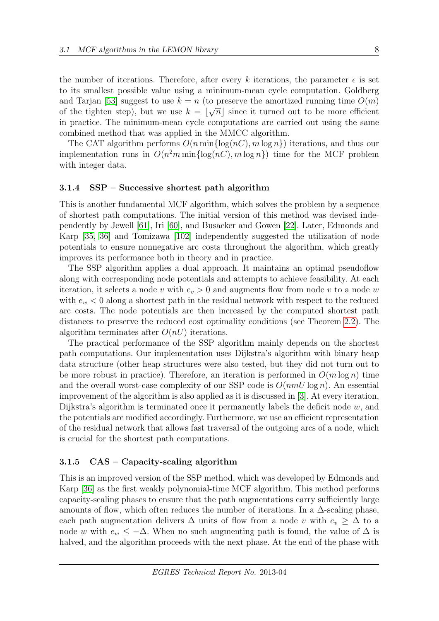the number of iterations. Therefore, after every k iterations, the parameter  $\epsilon$  is set to its smallest possible value using a minimum-mean cycle computation. Goldberg and Tarjan [\[53\]](#page-35-8) suggest to use  $k = n$  (to preserve the amortized running time  $O(m)$ ) of the tighten step), but we use  $k = \lfloor \sqrt{n} \rfloor$  since it turned out to be more efficient in practice. The minimum-mean cycle computations are carried out using the same combined method that was applied in the MMCC algorithm.

The CAT algorithm performs  $O(n \min\{\log(nC), m \log n\})$  iterations, and thus our implementation runs in  $O(n^2m \min{\log(nC)}, m \log n)$  time for the MCF problem with integer data.

#### 3.1.4 SSP – Successive shortest path algorithm

This is another fundamental MCF algorithm, which solves the problem by a sequence of shortest path computations. The initial version of this method was devised independently by Jewell [\[61\]](#page-36-6), Iri [\[60\]](#page-36-7), and Busacker and Gowen [\[22\]](#page-33-11). Later, Edmonds and Karp [\[35,](#page-34-9) [36\]](#page-34-5) and Tomizawa [\[102\]](#page-39-1) independently suggested the utilization of node potentials to ensure nonnegative arc costs throughout the algorithm, which greatly improves its performance both in theory and in practice.

The SSP algorithm applies a dual approach. It maintains an optimal pseudoflow along with corresponding node potentials and attempts to achieve feasibility. At each iteration, it selects a node v with  $e_v > 0$  and augments flow from node v to a node w with  $e_w < 0$  along a shortest path in the residual network with respect to the reduced arc costs. The node potentials are then increased by the computed shortest path distances to preserve the reduced cost optimality conditions (see Theorem [2.2\)](#page-4-1). The algorithm terminates after  $O(nU)$  iterations.

The practical performance of the SSP algorithm mainly depends on the shortest path computations. Our implementation uses Dijkstra's algorithm with binary heap data structure (other heap structures were also tested, but they did not turn out to be more robust in practice). Therefore, an iteration is performed in  $O(m \log n)$  time and the overall worst-case complexity of our SSP code is  $O(nmU \log n)$ . An essential improvement of the algorithm is also applied as it is discussed in [\[3\]](#page-32-0). At every iteration, Dijkstra's algorithm is terminated once it permanently labels the deficit node  $w$ , and the potentials are modified accordingly. Furthermore, we use an efficient representation of the residual network that allows fast traversal of the outgoing arcs of a node, which is crucial for the shortest path computations.

#### 3.1.5 CAS – Capacity-scaling algorithm

This is an improved version of the SSP method, which was developed by Edmonds and Karp [\[36\]](#page-34-5) as the first weakly polynomial-time MCF algorithm. This method performs capacity-scaling phases to ensure that the path augmentations carry sufficiently large amounts of flow, which often reduces the number of iterations. In a  $\Delta$ -scaling phase, each path augmentation delivers  $\Delta$  units of flow from a node v with  $e_v > \Delta$  to a node w with  $e_w \leq -\Delta$ . When no such augmenting path is found, the value of  $\Delta$  is halved, and the algorithm proceeds with the next phase. At the end of the phase with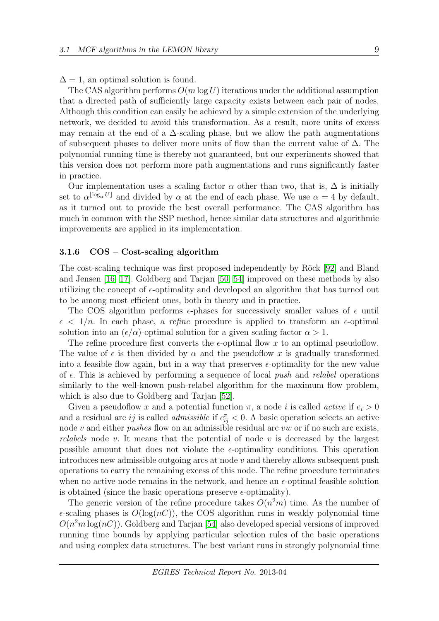$\Delta = 1$ , an optimal solution is found.

The CAS algorithm performs  $O(m \log U)$  iterations under the additional assumption that a directed path of sufficiently large capacity exists between each pair of nodes. Although this condition can easily be achieved by a simple extension of the underlying network, we decided to avoid this transformation. As a result, more units of excess may remain at the end of a  $\Delta$ -scaling phase, but we allow the path augmentations of subsequent phases to deliver more units of flow than the current value of ∆. The polynomial running time is thereby not guaranteed, but our experiments showed that this version does not perform more path augmentations and runs significantly faster in practice.

Our implementation uses a scaling factor  $\alpha$  other than two, that is,  $\Delta$  is initially set to  $\alpha^{\lfloor \log_\alpha U \rfloor}$  and divided by  $\alpha$  at the end of each phase. We use  $\alpha = 4$  by default, as it turned out to provide the best overall performance. The CAS algorithm has much in common with the SSP method, hence similar data structures and algorithmic improvements are applied in its implementation.

#### <span id="page-9-0"></span>3.1.6 COS – Cost-scaling algorithm

The cost-scaling technique was first proposed independently by Röck [\[92\]](#page-38-7) and Bland and Jensen [\[16,](#page-33-3) [17\]](#page-33-4). Goldberg and Tarjan [\[50,](#page-35-6) [54\]](#page-36-8) improved on these methods by also utilizing the concept of  $\epsilon$ -optimality and developed an algorithm that has turned out to be among most efficient ones, both in theory and in practice.

The COS algorithm performs  $\epsilon$ -phases for successively smaller values of  $\epsilon$  until  $\epsilon$  < 1/n. In each phase, a refine procedure is applied to transform an  $\epsilon$ -optimal solution into an  $(\epsilon/\alpha)$ -optimal solution for a given scaling factor  $\alpha > 1$ .

The refine procedure first converts the  $\epsilon$ -optimal flow x to an optimal pseudoflow. The value of  $\epsilon$  is then divided by  $\alpha$  and the pseudoflow x is gradually transformed into a feasible flow again, but in a way that preserves  $\epsilon$ -optimality for the new value of  $\epsilon$ . This is achieved by performing a sequence of local push and relabel operations similarly to the well-known push-relabel algorithm for the maximum flow problem, which is also due to Goldberg and Tarjan [\[52\]](#page-35-11).

Given a pseudoflow x and a potential function  $\pi$ , a node i is called active if  $e_i > 0$ and a residual arc ij is called *admissible* if  $c_{ij}^{\pi} < 0$ . A basic operation selects an active node v and either *pushes* flow on an admissible residual arc vw or if no such arc exists, relabels node  $v$ . It means that the potential of node  $v$  is decreased by the largest possible amount that does not violate the  $\epsilon$ -optimality conditions. This operation introduces new admissible outgoing arcs at node  $v$  and thereby allows subsequent push operations to carry the remaining excess of this node. The refine procedure terminates when no active node remains in the network, and hence an  $\epsilon$ -optimal feasible solution is obtained (since the basic operations preserve  $\epsilon$ -optimality).

The generic version of the refine procedure takes  $O(n^2m)$  time. As the number of  $\epsilon$ -scaling phases is  $O(\log(nC))$ , the COS algorithm runs in weakly polynomial time  $O(n^2m \log(nC))$ . Goldberg and Tarjan [\[54\]](#page-36-8) also developed special versions of improved running time bounds by applying particular selection rules of the basic operations and using complex data structures. The best variant runs in strongly polynomial time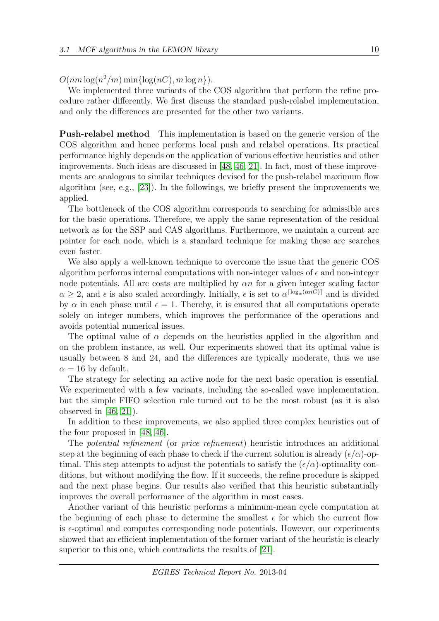$O(nm \log(n^2/m) \min\{\log(nC), m \log n\}).$ 

We implemented three variants of the COS algorithm that perform the refine procedure rather differently. We first discuss the standard push-relabel implementation, and only the differences are presented for the other two variants.

Push-relabel method This implementation is based on the generic version of the COS algorithm and hence performs local push and relabel operations. Its practical performance highly depends on the application of various effective heuristics and other improvements. Such ideas are discussed in [\[48,](#page-35-1) [46,](#page-35-2) [21\]](#page-33-6). In fact, most of these improvements are analogous to similar techniques devised for the push-relabel maximum flow algorithm (see, e.g., [\[23\]](#page-33-12)). In the followings, we briefly present the improvements we applied.

The bottleneck of the COS algorithm corresponds to searching for admissible arcs for the basic operations. Therefore, we apply the same representation of the residual network as for the SSP and CAS algorithms. Furthermore, we maintain a current arc pointer for each node, which is a standard technique for making these arc searches even faster.

We also apply a well-known technique to overcome the issue that the generic COS algorithm performs internal computations with non-integer values of  $\epsilon$  and non-integer node potentials. All arc costs are multiplied by  $\alpha n$  for a given integer scaling factor  $\alpha \geq 2$ , and  $\epsilon$  is also scaled accordingly. Initially,  $\epsilon$  is set to  $\alpha^{\lceil \log_{\alpha}(anC) \rceil}$  and is divided by  $\alpha$  in each phase until  $\epsilon = 1$ . Thereby, it is ensured that all computations operate solely on integer numbers, which improves the performance of the operations and avoids potential numerical issues.

The optimal value of  $\alpha$  depends on the heuristics applied in the algorithm and on the problem instance, as well. Our experiments showed that its optimal value is usually between 8 and 24, and the differences are typically moderate, thus we use  $\alpha = 16$  by default.

The strategy for selecting an active node for the next basic operation is essential. We experimented with a few variants, including the so-called wave implementation, but the simple FIFO selection rule turned out to be the most robust (as it is also observed in  $[46, 21]$  $[46, 21]$ .

In addition to these improvements, we also applied three complex heuristics out of the four proposed in [\[48,](#page-35-1) [46\]](#page-35-2).

The potential refinement (or price refinement) heuristic introduces an additional step at the beginning of each phase to check if the current solution is already  $(\epsilon/\alpha)$ -optimal. This step attempts to adjust the potentials to satisfy the  $(\epsilon/\alpha)$ -optimality conditions, but without modifying the flow. If it succeeds, the refine procedure is skipped and the next phase begins. Our results also verified that this heuristic substantially improves the overall performance of the algorithm in most cases.

Another variant of this heuristic performs a minimum-mean cycle computation at the beginning of each phase to determine the smallest  $\epsilon$  for which the current flow is  $\epsilon$ -optimal and computes corresponding node potentials. However, our experiments showed that an efficient implementation of the former variant of the heuristic is clearly superior to this one, which contradicts the results of [\[21\]](#page-33-6).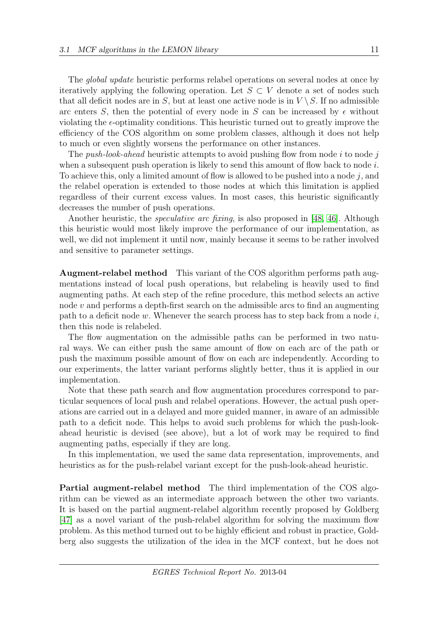The global update heuristic performs relabel operations on several nodes at once by iteratively applying the following operation. Let  $S \subset V$  denote a set of nodes such that all deficit nodes are in S, but at least one active node is in  $V \setminus S$ . If no admissible arc enters S, then the potential of every node in S can be increased by  $\epsilon$  without violating the  $\epsilon$ -optimality conditions. This heuristic turned out to greatly improve the efficiency of the COS algorithm on some problem classes, although it does not help to much or even slightly worsens the performance on other instances.

The *push-look-ahead* heuristic attempts to avoid pushing flow from node i to node j when a subsequent push operation is likely to send this amount of flow back to node  $i$ . To achieve this, only a limited amount of flow is allowed to be pushed into a node  $j$ , and the relabel operation is extended to those nodes at which this limitation is applied regardless of their current excess values. In most cases, this heuristic significantly decreases the number of push operations.

Another heuristic, the speculative arc fixing, is also proposed in [\[48,](#page-35-1) [46\]](#page-35-2). Although this heuristic would most likely improve the performance of our implementation, as well, we did not implement it until now, mainly because it seems to be rather involved and sensitive to parameter settings.

Augment-relabel method This variant of the COS algorithm performs path augmentations instead of local push operations, but relabeling is heavily used to find augmenting paths. At each step of the refine procedure, this method selects an active node  $v$  and performs a depth-first search on the admissible arcs to find an augmenting path to a deficit node w. Whenever the search process has to step back from a node  $i$ , then this node is relabeled.

The flow augmentation on the admissible paths can be performed in two natural ways. We can either push the same amount of flow on each arc of the path or push the maximum possible amount of flow on each arc independently. According to our experiments, the latter variant performs slightly better, thus it is applied in our implementation.

Note that these path search and flow augmentation procedures correspond to particular sequences of local push and relabel operations. However, the actual push operations are carried out in a delayed and more guided manner, in aware of an admissible path to a deficit node. This helps to avoid such problems for which the push-lookahead heuristic is devised (see above), but a lot of work may be required to find augmenting paths, especially if they are long.

In this implementation, we used the same data representation, improvements, and heuristics as for the push-relabel variant except for the push-look-ahead heuristic.

Partial augment-relabel method The third implementation of the COS algorithm can be viewed as an intermediate approach between the other two variants. It is based on the partial augment-relabel algorithm recently proposed by Goldberg [\[47\]](#page-35-3) as a novel variant of the push-relabel algorithm for solving the maximum flow problem. As this method turned out to be highly efficient and robust in practice, Goldberg also suggests the utilization of the idea in the MCF context, but he does not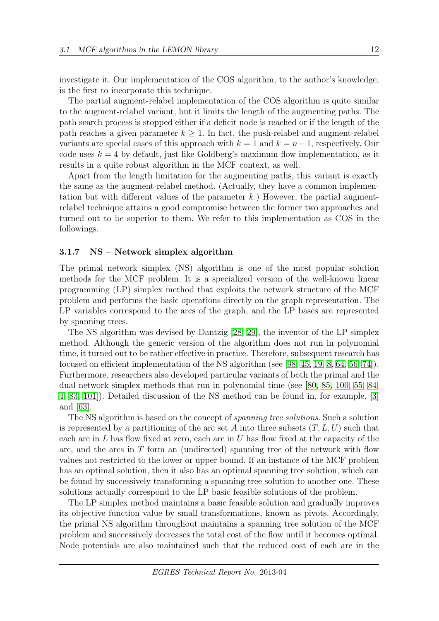investigate it. Our implementation of the COS algorithm, to the author's knowledge, is the first to incorporate this technique.

The partial augment-relabel implementation of the COS algorithm is quite similar to the augment-relabel variant, but it limits the length of the augmenting paths. The path search process is stopped either if a deficit node is reached or if the length of the path reaches a given parameter  $k \geq 1$ . In fact, the push-relabel and augment-relabel variants are special cases of this approach with  $k = 1$  and  $k = n - 1$ , respectively. Our code uses  $k = 4$  by default, just like Goldberg's maximum flow implementation, as it results in a quite robust algorithm in the MCF context, as well.

Apart from the length limitation for the augmenting paths, this variant is exactly the same as the augment-relabel method. (Actually, they have a common implementation but with different values of the parameter  $k$ .) However, the partial augmentrelabel technique attains a good compromise between the former two approaches and turned out to be superior to them. We refer to this implementation as COS in the followings.

#### <span id="page-12-0"></span>3.1.7 NS – Network simplex algorithm

The primal network simplex (NS) algorithm is one of the most popular solution methods for the MCF problem. It is a specialized version of the well-known linear programming (LP) simplex method that exploits the network structure of the MCF problem and performs the basic operations directly on the graph representation. The LP variables correspond to the arcs of the graph, and the LP bases are represented by spanning trees.

The NS algorithm was devised by Dantzig [\[28,](#page-34-12) [29\]](#page-34-4), the inventor of the LP simplex method. Although the generic version of the algorithm does not run in polynomial time, it turned out to be rather effective in practice. Therefore, subsequent research has focused on efficient implementation of the NS algorithm (see [\[98,](#page-38-10) [45,](#page-35-0) [19,](#page-33-0) [8,](#page-32-9) [64,](#page-36-11) [56,](#page-36-3) [74\]](#page-37-0)). Furthermore, researchers also developed particular variants of both the primal and the dual network simplex methods that run in polynomial time (see [\[80,](#page-37-10) [85,](#page-37-11) [100,](#page-39-6) [55,](#page-36-12) [84,](#page-37-9) [4,](#page-32-7) [83,](#page-37-6) [101\]](#page-39-2)). Detailed discussion of the NS method can be found in, for example, [\[3\]](#page-32-0) and [\[63\]](#page-36-13).

The NS algorithm is based on the concept of spanning tree solutions. Such a solution is represented by a partitioning of the arc set A into three subsets  $(T, L, U)$  such that each arc in  $L$  has flow fixed at zero, each arc in  $U$  has flow fixed at the capacity of the arc, and the arcs in  $T$  form an (undirected) spanning tree of the network with flow values not restricted to the lower or upper bound. If an instance of the MCF problem has an optimal solution, then it also has an optimal spanning tree solution, which can be found by successively transforming a spanning tree solution to another one. These solutions actually correspond to the LP basic feasible solutions of the problem.

The LP simplex method maintains a basic feasible solution and gradually improves its objective function value by small transformations, known as pivots. Accordingly, the primal NS algorithm throughout maintains a spanning tree solution of the MCF problem and successively decreases the total cost of the flow until it becomes optimal. Node potentials are also maintained such that the reduced cost of each arc in the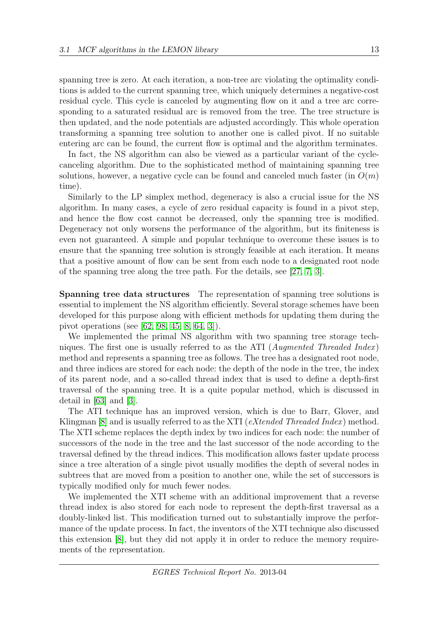spanning tree is zero. At each iteration, a non-tree arc violating the optimality conditions is added to the current spanning tree, which uniquely determines a negative-cost residual cycle. This cycle is canceled by augmenting flow on it and a tree arc corresponding to a saturated residual arc is removed from the tree. The tree structure is then updated, and the node potentials are adjusted accordingly. This whole operation transforming a spanning tree solution to another one is called pivot. If no suitable entering arc can be found, the current flow is optimal and the algorithm terminates.

In fact, the NS algorithm can also be viewed as a particular variant of the cyclecanceling algorithm. Due to the sophisticated method of maintaining spanning tree solutions, however, a negative cycle can be found and canceled much faster (in  $O(m)$ ) time).

Similarly to the LP simplex method, degeneracy is also a crucial issue for the NS algorithm. In many cases, a cycle of zero residual capacity is found in a pivot step, and hence the flow cost cannot be decreased, only the spanning tree is modified. Degeneracy not only worsens the performance of the algorithm, but its finiteness is even not guaranteed. A simple and popular technique to overcome these issues is to ensure that the spanning tree solution is strongly feasible at each iteration. It means that a positive amount of flow can be sent from each node to a designated root node of the spanning tree along the tree path. For the details, see [\[27,](#page-34-13) [7,](#page-32-10) [3\]](#page-32-0).

Spanning tree data structures The representation of spanning tree solutions is essential to implement the NS algorithm efficiently. Several storage schemes have been developed for this purpose along with efficient methods for updating them during the pivot operations (see [\[62,](#page-36-14) [98,](#page-38-10) [45,](#page-35-0) [8,](#page-32-9) [64,](#page-36-11) [3\]](#page-32-0)).

We implemented the primal NS algorithm with two spanning tree storage techniques. The first one is usually referred to as the ATI ( $Augmented ThreadIndex)$ ) method and represents a spanning tree as follows. The tree has a designated root node, and three indices are stored for each node: the depth of the node in the tree, the index of its parent node, and a so-called thread index that is used to define a depth-first traversal of the spanning tree. It is a quite popular method, which is discussed in detail in [\[63\]](#page-36-13) and [\[3\]](#page-32-0).

The ATI technique has an improved version, which is due to Barr, Glover, and Klingman  $[8]$  and is usually referred to as the XTI (*eXtended Threaded Index*) method. The XTI scheme replaces the depth index by two indices for each node: the number of successors of the node in the tree and the last successor of the node according to the traversal defined by the thread indices. This modification allows faster update process since a tree alteration of a single pivot usually modifies the depth of several nodes in subtrees that are moved from a position to another one, while the set of successors is typically modified only for much fewer nodes.

We implemented the XTI scheme with an additional improvement that a reverse thread index is also stored for each node to represent the depth-first traversal as a doubly-linked list. This modification turned out to substantially improve the performance of the update process. In fact, the inventors of the XTI technique also discussed this extension [\[8\]](#page-32-9), but they did not apply it in order to reduce the memory requirements of the representation.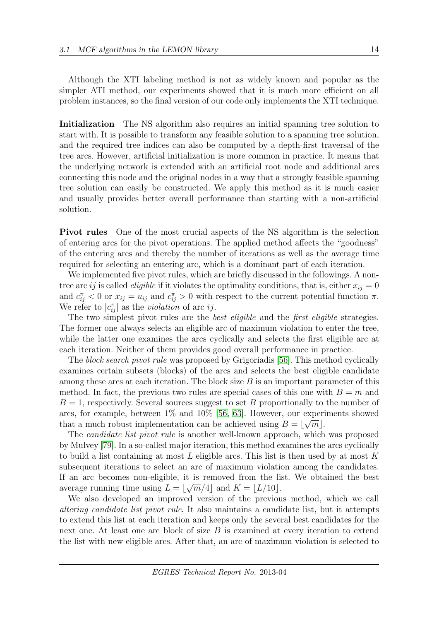Although the XTI labeling method is not as widely known and popular as the simpler ATI method, our experiments showed that it is much more efficient on all problem instances, so the final version of our code only implements the XTI technique.

Initialization The NS algorithm also requires an initial spanning tree solution to start with. It is possible to transform any feasible solution to a spanning tree solution, and the required tree indices can also be computed by a depth-first traversal of the tree arcs. However, artificial initialization is more common in practice. It means that the underlying network is extended with an artificial root node and additional arcs connecting this node and the original nodes in a way that a strongly feasible spanning tree solution can easily be constructed. We apply this method as it is much easier and usually provides better overall performance than starting with a non-artificial solution.

Pivot rules One of the most crucial aspects of the NS algorithm is the selection of entering arcs for the pivot operations. The applied method affects the "goodness" of the entering arcs and thereby the number of iterations as well as the average time required for selecting an entering arc, which is a dominant part of each iteration.

We implemented five pivot rules, which are briefly discussed in the followings. A nontree arc ij is called *eligible* if it violates the optimality conditions, that is, either  $x_{ij} = 0$ and  $c_{ij}^{\pi} < 0$  or  $x_{ij} = u_{ij}$  and  $c_{ij}^{\pi} > 0$  with respect to the current potential function  $\pi$ . We refer to  $|c_{ij}^{\pi}|$  as the *violation* of arc *ij*.

The two simplest pivot rules are the *best eligible* and the *first eligible* strategies. The former one always selects an eligible arc of maximum violation to enter the tree, while the latter one examines the arcs cyclically and selects the first eligible arc at each iteration. Neither of them provides good overall performance in practice.

The block search pivot rule was proposed by Grigoriadis [\[56\]](#page-36-3). This method cyclically examines certain subsets (blocks) of the arcs and selects the best eligible candidate among these arcs at each iteration. The block size  $B$  is an important parameter of this method. In fact, the previous two rules are special cases of this one with  $B = m$  and  $B = 1$ , respectively. Several sources suggest to set B proportionally to the number of arcs, for example, between  $1\%$  and  $10\%$  [\[56,](#page-36-3) [63\]](#page-36-13). However, our experiments showed that a much robust implementation can be achieved using  $B = \lfloor \sqrt{m} \rfloor$ .

The candidate list pivot rule is another well-known approach, which was proposed by Mulvey [\[79\]](#page-37-12). In a so-called major iteration, this method examines the arcs cyclically to build a list containing at most  $L$  eligible arcs. This list is then used by at most  $K$ subsequent iterations to select an arc of maximum violation among the candidates. If an arc becomes non-eligible, it is removed from the list. We obtained the best average running time using  $L = \lfloor \sqrt{m}/4 \rfloor$  and  $K = \lfloor L/10 \rfloor$ .

We also developed an improved version of the previous method, which we call altering candidate list pivot rule. It also maintains a candidate list, but it attempts to extend this list at each iteration and keeps only the several best candidates for the next one. At least one arc block of size B is examined at every iteration to extend the list with new eligible arcs. After that, an arc of maximum violation is selected to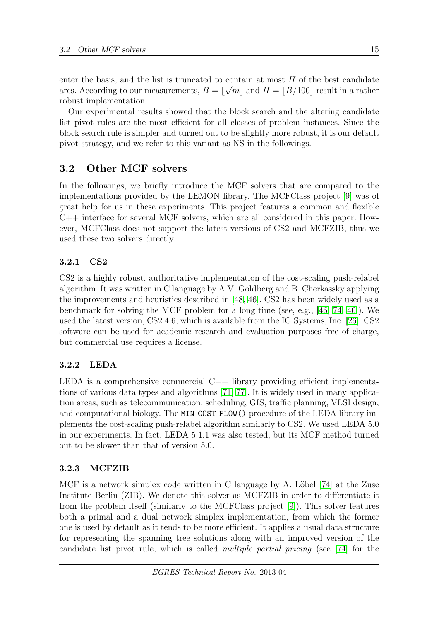enter the basis, and the list is truncated to contain at most H of the best candidate arcs. According to our measurements,  $B = \lfloor \sqrt{m} \rfloor$  and  $H = \lfloor B/100 \rfloor$  result in a rather robust implementation.

Our experimental results showed that the block search and the altering candidate list pivot rules are the most efficient for all classes of problem instances. Since the block search rule is simpler and turned out to be slightly more robust, it is our default pivot strategy, and we refer to this variant as NS in the followings.

## <span id="page-15-0"></span>3.2 Other MCF solvers

In the followings, we briefly introduce the MCF solvers that are compared to the implementations provided by the LEMON library. The MCFClass project [\[9\]](#page-32-2) was of great help for us in these experiments. This project features a common and flexible C++ interface for several MCF solvers, which are all considered in this paper. However, MCFClass does not support the latest versions of CS2 and MCFZIB, thus we used these two solvers directly.

## 3.2.1 CS2

CS2 is a highly robust, authoritative implementation of the cost-scaling push-relabel algorithm. It was written in C language by A.V. Goldberg and B. Cherkassky applying the improvements and heuristics described in [\[48,](#page-35-1) [46\]](#page-35-2). CS2 has been widely used as a benchmark for solving the MCF problem for a long time (see, e.g., [\[46,](#page-35-2) [74,](#page-37-0) [40\]](#page-34-0)). We used the latest version, CS2 4.6, which is available from the IG Systems, Inc. [\[26\]](#page-33-8). CS2 software can be used for academic research and evaluation purposes free of charge, but commercial use requires a license.

## 3.2.2 LEDA

LEDA is a comprehensive commercial  $C++$  library providing efficient implementations of various data types and algorithms [\[71,](#page-37-2) [77\]](#page-37-13). It is widely used in many application areas, such as telecommunication, scheduling, GIS, traffic planning, VLSI design, and computational biology. The MIN COST FLOW() procedure of the LEDA library implements the cost-scaling push-relabel algorithm similarly to CS2. We used LEDA 5.0 in our experiments. In fact, LEDA 5.1.1 was also tested, but its MCF method turned out to be slower than that of version 5.0.

## 3.2.3 MCFZIB

MCF is a network simplex code written in C language by A. Löbel  $[74]$  at the Zuse Institute Berlin (ZIB). We denote this solver as MCFZIB in order to differentiate it from the problem itself (similarly to the MCFClass project [\[9\]](#page-32-2)). This solver features both a primal and a dual network simplex implementation, from which the former one is used by default as it tends to be more efficient. It applies a usual data structure for representing the spanning tree solutions along with an improved version of the candidate list pivot rule, which is called multiple partial pricing (see [\[74\]](#page-37-0) for the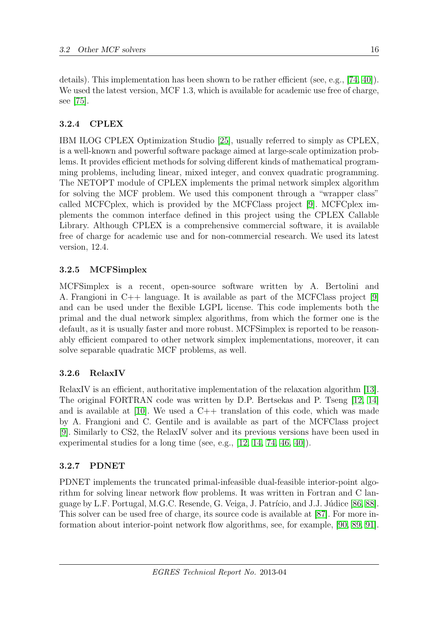details). This implementation has been shown to be rather efficient (see, e.g., [\[74,](#page-37-0) [40\]](#page-34-0)). We used the latest version, MCF 1.3, which is available for academic use free of charge, see [\[75\]](#page-37-3).

## 3.2.4 CPLEX

IBM ILOG CPLEX Optimization Studio [\[25\]](#page-33-9), usually referred to simply as CPLEX, is a well-known and powerful software package aimed at large-scale optimization problems. It provides efficient methods for solving different kinds of mathematical programming problems, including linear, mixed integer, and convex quadratic programming. The NETOPT module of CPLEX implements the primal network simplex algorithm for solving the MCF problem. We used this component through a "wrapper class" called MCFCplex, which is provided by the MCFClass project [\[9\]](#page-32-2). MCFCplex implements the common interface defined in this project using the CPLEX Callable Library. Although CPLEX is a comprehensive commercial software, it is available free of charge for academic use and for non-commercial research. We used its latest version, 12.4.

## 3.2.5 MCFSimplex

MCFSimplex is a recent, open-source software written by A. Bertolini and A. Frangioni in C++ language. It is available as part of the MCFClass project [\[9\]](#page-32-2) and can be used under the flexible LGPL license. This code implements both the primal and the dual network simplex algorithms, from which the former one is the default, as it is usually faster and more robust. MCFSimplex is reported to be reasonably efficient compared to other network simplex implementations, moreover, it can solve separable quadratic MCF problems, as well.

## 3.2.6 RelaxIV

RelaxIV is an efficient, authoritative implementation of the relaxation algorithm [\[13\]](#page-33-1). The original FORTRAN code was written by D.P. Bertsekas and P. Tseng [\[12,](#page-33-13) [14\]](#page-33-2) and is available at  $[10]$ . We used a  $C++$  translation of this code, which was made by A. Frangioni and C. Gentile and is available as part of the MCFClass project [\[9\]](#page-32-2). Similarly to CS2, the RelaxIV solver and its previous versions have been used in experimental studies for a long time (see, e.g., [\[12,](#page-33-13) [14,](#page-33-2) [74,](#page-37-0) [46,](#page-35-2) [40\]](#page-34-0)).

## 3.2.7 PDNET

PDNET implements the truncated primal-infeasible dual-feasible interior-point algorithm for solving linear network flow problems. It was written in Fortran and C lan-guage by L.F. Portugal, M.G.C. Resende, G. Veiga, J. Patrício, and J.J. Júdice [\[86,](#page-38-3) [88\]](#page-38-4). This solver can be used free of charge, its source code is available at [\[87\]](#page-38-5). For more information about interior-point network flow algorithms, see, for example, [\[90,](#page-38-2) [89,](#page-38-11) [91\]](#page-38-12).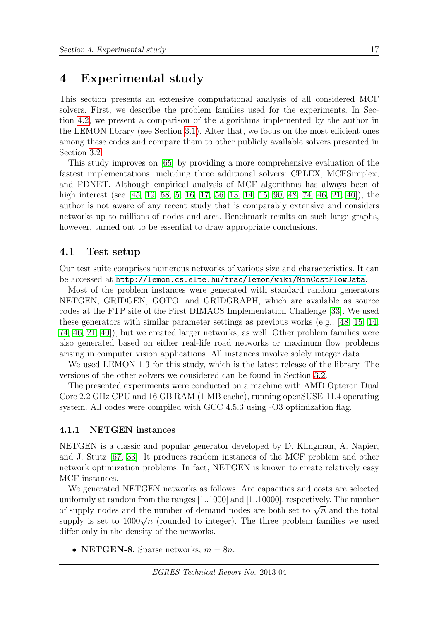## <span id="page-17-0"></span>4 Experimental study

This section presents an extensive computational analysis of all considered MCF solvers. First, we describe the problem families used for the experiments. In Section [4.2,](#page-20-0) we present a comparison of the algorithms implemented by the author in the LEMON library (see Section [3.1\)](#page-5-1). After that, we focus on the most efficient ones among these codes and compare them to other publicly available solvers presented in Section [3.2.](#page-15-0)

This study improves on [\[65\]](#page-36-4) by providing a more comprehensive evaluation of the fastest implementations, including three additional solvers: CPLEX, MCFSimplex, and PDNET. Although empirical analysis of MCF algorithms has always been of high interest (see [\[45,](#page-35-0) [19,](#page-33-0) [58,](#page-36-2) [5,](#page-32-1) [16,](#page-33-3) [17,](#page-33-4) [56,](#page-36-3) [13,](#page-33-1) [14,](#page-33-2) [15,](#page-33-5) [90,](#page-38-2) [48,](#page-35-1) [74,](#page-37-0) [46,](#page-35-2) [21,](#page-33-6) [40\]](#page-34-0)), the author is not aware of any recent study that is comparably extensive and considers networks up to millions of nodes and arcs. Benchmark results on such large graphs, however, turned out to be essential to draw appropriate conclusions.

## 4.1 Test setup

Our test suite comprises numerous networks of various size and characteristics. It can be accessed at <http://lemon.cs.elte.hu/trac/lemon/wiki/MinCostFlowData>.

Most of the problem instances were generated with standard random generators NETGEN, GRIDGEN, GOTO, and GRIDGRAPH, which are available as source codes at the FTP site of the First DIMACS Implementation Challenge [\[33\]](#page-34-1). We used these generators with similar parameter settings as previous works (e.g., [\[48,](#page-35-1) [15,](#page-33-5) [14,](#page-33-2) [74,](#page-37-0) [46,](#page-35-2) [21,](#page-33-6) [40\]](#page-34-0)), but we created larger networks, as well. Other problem families were also generated based on either real-life road networks or maximum flow problems arising in computer vision applications. All instances involve solely integer data.

We used LEMON 1.3 for this study, which is the latest release of the library. The versions of the other solvers we considered can be found in Section [3.2.](#page-15-0)

The presented experiments were conducted on a machine with AMD Opteron Dual Core 2.2 GHz CPU and 16 GB RAM (1 MB cache), running openSUSE 11.4 operating system. All codes were compiled with GCC 4.5.3 using -O3 optimization flag.

### 4.1.1 NETGEN instances

NETGEN is a classic and popular generator developed by D. Klingman, A. Napier, and J. Stutz [\[67,](#page-36-15) [33\]](#page-34-1). It produces random instances of the MCF problem and other network optimization problems. In fact, NETGEN is known to create relatively easy MCF instances.

We generated NETGEN networks as follows. Arc capacities and costs are selected uniformly at random from the ranges [1..1000] and [1..10000], respectively. The number of supply nodes and the number of demand nodes are both set to  $\sqrt{n}$  and the total or suppry nodes and the number of demand hodes are both set to  $\sqrt{n}$  and the total supply is set to  $1000\sqrt{n}$  (rounded to integer). The three problem families we used differ only in the density of the networks.

• NETGEN-8. Sparse networks;  $m = 8n$ .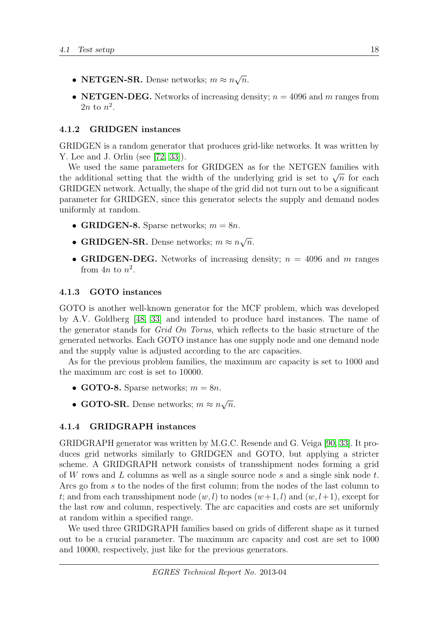- NETGEN-SR. Dense networks;  $m \approx n$ √  $\overline{n}$ .
- NETGEN-DEG. Networks of increasing density;  $n = 4096$  and m ranges from  $2n$  to  $n^2$ .

### 4.1.2 GRIDGEN instances

GRIDGEN is a random generator that produces grid-like networks. It was written by Y. Lee and J. Orlin (see [\[72,](#page-37-14) [33\]](#page-34-1)).

We used the same parameters for GRIDGEN as for the NETGEN families with We used the same parameters for GRIDGEN as for the NETGEN families with<br>the additional setting that the width of the underlying grid is set to  $\sqrt{n}$  for each GRIDGEN network. Actually, the shape of the grid did not turn out to be a significant parameter for GRIDGEN, since this generator selects the supply and demand nodes uniformly at random.

- GRIDGEN-8. Sparse networks;  $m = 8n$ .
- GRIDGEN-SR. Dense networks;  $m \approx n$ √  $\overline{n}$ .
- GRIDGEN-DEG. Networks of increasing density;  $n = 4096$  and m ranges from  $4n$  to  $n^2$ .

#### 4.1.3 GOTO instances

GOTO is another well-known generator for the MCF problem, which was developed by A.V. Goldberg [\[48,](#page-35-1) [33\]](#page-34-1) and intended to produce hard instances. The name of the generator stands for Grid On Torus, which reflects to the basic structure of the generated networks. Each GOTO instance has one supply node and one demand node and the supply value is adjusted according to the arc capacities.

As for the previous problem families, the maximum arc capacity is set to 1000 and the maximum arc cost is set to 10000.

- GOTO-8. Sparse networks;  $m = 8n$ .
- GOTO-SR. Dense networks;  $m \approx n$ √  $\overline{n}$ .

### 4.1.4 GRIDGRAPH instances

GRIDGRAPH generator was written by M.G.C. Resende and G. Veiga [\[90,](#page-38-2) [33\]](#page-34-1). It produces grid networks similarly to GRIDGEN and GOTO, but applying a stricter scheme. A GRIDGRAPH network consists of transshipment nodes forming a grid of W rows and L columns as well as a single source node s and a single sink node t. Arcs go from s to the nodes of the first column; from the nodes of the last column to t; and from each transshipment node  $(w, l)$  to nodes  $(w+1, l)$  and  $(w, l+1)$ , except for the last row and column, respectively. The arc capacities and costs are set uniformly at random within a specified range.

We used three GRIDGRAPH families based on grids of different shape as it turned out to be a crucial parameter. The maximum arc capacity and cost are set to 1000 and 10000, respectively, just like for the previous generators.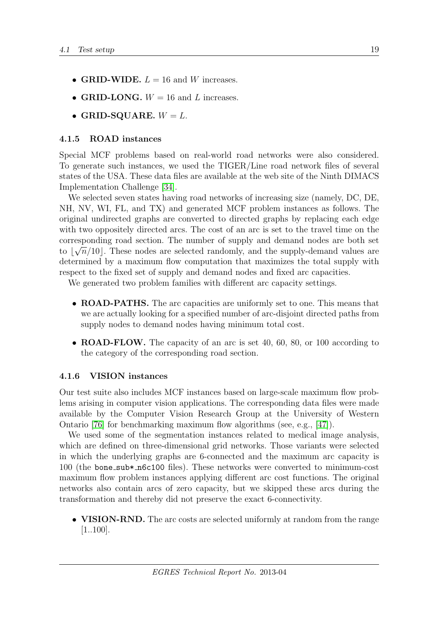- GRID-WIDE.  $L = 16$  and W increases.
- GRID-LONG.  $W = 16$  and L increases.
- GRID-SQUARE.  $W = L$ .

### 4.1.5 ROAD instances

Special MCF problems based on real-world road networks were also considered. To generate such instances, we used the TIGER/Line road network files of several states of the USA. These data files are available at the web site of the Ninth DIMACS Implementation Challenge [\[34\]](#page-34-14).

We selected seven states having road networks of increasing size (namely, DC, DE, NH, NV, WI, FL, and TX) and generated MCF problem instances as follows. The original undirected graphs are converted to directed graphs by replacing each edge with two oppositely directed arcs. The cost of an arc is set to the travel time on the corresponding road section. The number of supply and demand nodes are both set to  $\lfloor \sqrt{n}/10 \rfloor$ . These nodes are selected randomly, and the supply-demand values are determined by a maximum flow computation that maximizes the total supply with respect to the fixed set of supply and demand nodes and fixed arc capacities.

We generated two problem families with different arc capacity settings.

- ROAD-PATHS. The arc capacities are uniformly set to one. This means that we are actually looking for a specified number of arc-disjoint directed paths from supply nodes to demand nodes having minimum total cost.
- **ROAD-FLOW.** The capacity of an arc is set 40, 60, 80, or 100 according to the category of the corresponding road section.

### 4.1.6 VISION instances

Our test suite also includes MCF instances based on large-scale maximum flow problems arising in computer vision applications. The corresponding data files were made available by the Computer Vision Research Group at the University of Western Ontario [\[76\]](#page-37-15) for benchmarking maximum flow algorithms (see, e.g., [\[47\]](#page-35-3)).

We used some of the segmentation instances related to medical image analysis, which are defined on three-dimensional grid networks. Those variants were selected in which the underlying graphs are 6-connected and the maximum arc capacity is 100 (the bone sub\* n6c100 files). These networks were converted to minimum-cost maximum flow problem instances applying different arc cost functions. The original networks also contain arcs of zero capacity, but we skipped these arcs during the transformation and thereby did not preserve the exact 6-connectivity.

• VISION-RND. The arc costs are selected uniformly at random from the range [1..100].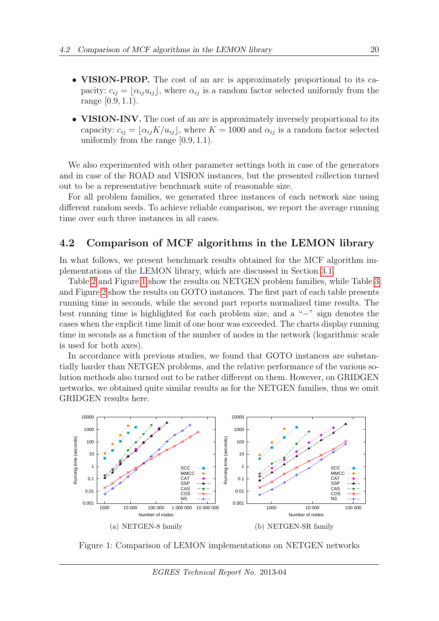- **VISION-PROP.** The cost of an arc is approximately proportional to its capacity:  $c_{ij} = [\alpha_{ij}u_{ij}],$  where  $\alpha_{ij}$  is a random factor selected uniformly from the range [0.9, 1.1).
- VISION-INV. The cost of an arc is approximately inversely proportional to its capacity:  $c_{ij} = \lfloor \alpha_{ij} K/u_{ij} \rfloor$ , where  $K = 1000$  and  $\alpha_{ij}$  is a random factor selected uniformly from the range [0.9, 1.1).

We also experimented with other parameter settings both in case of the generators and in case of the ROAD and VISION instances, but the presented collection turned out to be a representative benchmark suite of reasonable size.

For all problem families, we generated three instances of each network size using different random seeds. To achieve reliable comparison, we report the average running time over such three instances in all cases.

## <span id="page-20-0"></span>4.2 Comparison of MCF algorithms in the LEMON library

In what follows, we present benchmark results obtained for the MCF algorithm implementations of the LEMON library, which are discussed in Section [3.1.](#page-5-1)

Table [2](#page-21-0) and Figure [1](#page-20-1) show the results on NETGEN problem families, while Table [3](#page-22-0) and Figure [2](#page-22-1) show the results on GOTO instances. The first part of each table presents running time in seconds, while the second part reports normalized time results. The best running time is highlighted for each problem size, and a "−" sign denotes the cases when the explicit time limit of one hour was exceeded. The charts display running time in seconds as a function of the number of nodes in the network (logarithmic scale is used for both axes).

In accordance with previous studies, we found that GOTO instances are substantially harder than NETGEN problems, and the relative performance of the various solution methods also turned out to be rather different on them. However, on GRIDGEN networks, we obtained quite similar results as for the NETGEN families, thus we omit GRIDGEN results here.



<span id="page-20-1"></span>Figure 1: Comparison of LEMON implementations on NETGEN networks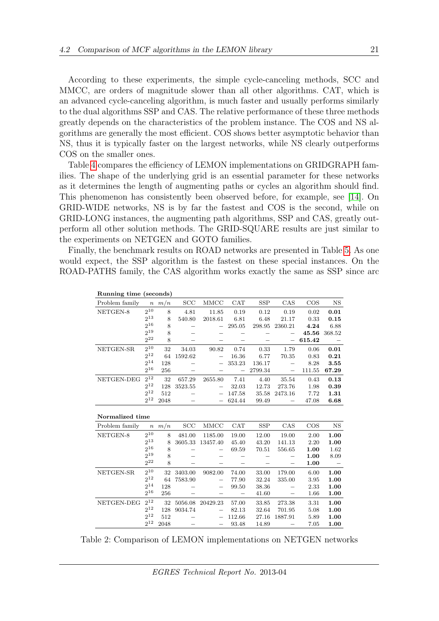According to these experiments, the simple cycle-canceling methods, SCC and MMCC, are orders of magnitude slower than all other algorithms. CAT, which is an advanced cycle-canceling algorithm, is much faster and usually performs similarly to the dual algorithms SSP and CAS. The relative performance of these three methods greatly depends on the characteristics of the problem instance. The COS and NS algorithms are generally the most efficient. COS shows better asymptotic behavior than NS, thus it is typically faster on the largest networks, while NS clearly outperforms COS on the smaller ones.

Table [4](#page-23-0) compares the efficiency of LEMON implementations on GRIDGRAPH families. The shape of the underlying grid is an essential parameter for these networks as it determines the length of augmenting paths or cycles an algorithm should find. This phenomenon has consistently been observed before, for example, see [\[14\]](#page-33-2). On GRID-WIDE networks, NS is by far the fastest and COS is the second, while on GRID-LONG instances, the augmenting path algorithms, SSP and CAS, greatly outperform all other solution methods. The GRID-SQUARE results are just similar to the experiments on NETGEN and GOTO families.

Finally, the benchmark results on ROAD networks are presented in Table [5.](#page-23-1) As one would expect, the SSP algorithm is the fastest on these special instances. On the ROAD-PATHS family, the CAS algorithm works exactly the same as SSP since arc

| Running time (seconds) |                 |            |         |                              |                          |            |                   |        |                              |
|------------------------|-----------------|------------|---------|------------------------------|--------------------------|------------|-------------------|--------|------------------------------|
| Problem family         |                 | $n \, m/n$ | SCC     | MMCC                         | <b>CAT</b>               | SSP        | CAS               | $\cos$ | $_{\rm NS}$                  |
| NETGEN-8               | $2^{10}$        | 8          | 4.81    | 11.85                        | 0.19                     | 0.12       | 0.19              | 0.02   | 0.01                         |
|                        | $2^{13}$        | 8          | 540.80  | 2018.61                      | 6.81                     | 6.48       | 21.17             | 0.33   | 0.15                         |
|                        | $2^{16}$        | 8          |         |                              | 295.05                   | 298.95     | 2360.21           | 4.24   | 6.88                         |
|                        | 2 <sup>19</sup> | 8          |         |                              |                          |            |                   | 45.56  | 368.52                       |
|                        | $2^{22}$        | 8          |         | $\overbrace{\qquad \qquad }$ |                          |            |                   | 615.42 | $\qquad \qquad$              |
| NETGEN-SR              | $2^{10}$        | 32         | 34.03   | 90.82                        | 0.74                     | 0.33       | 1.79              | 0.06   | 0.01                         |
|                        | $2^{12}$        | 64         | 1592.62 | $\qquad \qquad -$            | 16.36                    | 6.77       | 70.35             | 0.83   | 0.21                         |
|                        | $2^{14}$        | 128        |         | $\qquad \qquad -$            | 353.23                   | 136.17     |                   | 8.28   | 3.55                         |
|                        | $2^{16}$        | 256        |         |                              | $\overline{\phantom{0}}$ | 2799.34    | $\qquad \qquad -$ | 111.55 | 67.29                        |
| NETGEN-DEG             | $2^{12}$        | 32         | 657.29  | 2655.80                      | 7.41                     | 4.40       | 35.54             | 0.43   | 0.13                         |
|                        | $2^{12}$        | 128        | 3523.55 |                              | 32.03                    | 12.73      | 273.76            | 1.98   | 0.39                         |
|                        | $2^{12}$        | 512        |         |                              | 147.58                   | 35.58      | 2473.16           | 7.72   | 1.31                         |
|                        | $2^{12}$        | 2048       |         |                              | 624.44                   | 99.49      |                   | 47.08  | 6.68                         |
| Normalized time        |                 |            |         |                              |                          |            |                   |        |                              |
| Problem family         |                 | $n \, m/n$ | SCC     | MMCC                         | CAT                      | <b>SSP</b> | CAS               | $\cos$ | $_{\rm NS}$                  |
| NETGEN-8               | $2^{10}$        | 8          | 481.00  | 1185.00                      | 19.00                    | 12.00      | 19.00             | 2.00   | 1.00                         |
|                        | $2^{13}$        | 8          | 3605.33 | 13457.40                     | 45.40                    | 43.20      | 141.13            | 2.20   | 1.00                         |
|                        | $2^{16}$        | 8          |         | —                            | 69.59                    | 70.51      | 556.65            | 1.00   | 1.62                         |
|                        | $2^{19}$        | 8          |         |                              |                          |            |                   | 1.00   | 8.09                         |
|                        | $2^{22}$        | 8          |         |                              |                          |            |                   | 1.00   | $\overbrace{\qquad \qquad }$ |
| NETGEN-SR              | $2^{10}$        | 32         | 3403.00 | 9082.00                      | 74.00                    | 33.00      | 179.00            | 6.00   | 1.00                         |
|                        | $2^{12}$        | 64         | 7583.90 |                              | 77.90                    | 32.24      | 335.00            | 3.95   | 1.00                         |
|                        | $2^{14}$        | 128        |         | $\qquad \qquad -$            | 99.50                    | 38.36      |                   | 2.33   | 1.00                         |
|                        | $2^{16}$        | 256        |         | $\qquad \qquad -$            | $\qquad \qquad -$        | 41.60      |                   | 1.66   | 1.00                         |
| NETGEN-DEG             | $2^{12}$        | 32         | 5056.08 | 20429.23                     | 57.00                    | 33.85      | 273.38            | 3.31   | 1.00                         |
|                        | $2^{12}$        | 128        | 9034.74 | $\qquad \qquad -$            | 82.13                    | 32.64      | 701.95            | 5.08   | 1.00                         |
|                        |                 |            |         |                              |                          |            |                   |        |                              |
|                        | $2^{12}$        | 512        |         | $\qquad \qquad -$            | 112.66                   | 27.16      | 1887.91           | 5.89   | 1.00                         |
|                        | $2^{12}$        | 2048       |         |                              | 93.48                    | 14.89      |                   | 7.05   | 1.00                         |

<span id="page-21-0"></span>Table 2: Comparison of LEMON implementations on NETGEN networks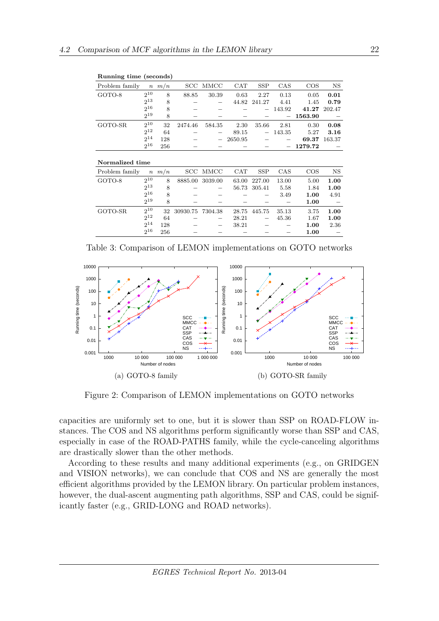| Problem family  | $\, n \,$ | m/n | $_{\mathrm{SCC}}$ | MMCC    | CAT     | <b>SSP</b> | CAS    | $\cos$  | NS        |
|-----------------|-----------|-----|-------------------|---------|---------|------------|--------|---------|-----------|
| GOTO-8          | $2^{10}$  | 8   | 88.85             | 30.39   | 0.63    | 2.27       | 0.13   | 0.05    | 0.01      |
|                 | $2^{13}$  | 8   |                   |         | 44.82   | 241.27     | 4.41   | 1.45    | 0.79      |
|                 | $2^{16}$  | 8   |                   |         |         |            | 143.92 | 41.27   | 202.47    |
|                 | $2^{19}$  | 8   |                   |         |         |            |        | 1563.90 |           |
| GOTO-SR         | $2^{10}$  | 32  | 2474.46           | 584.35  | 2.30    | 35.66      | 2.81   | 0.30    | 0.08      |
|                 | $2^{12}$  | 64  |                   |         | 89.15   |            | 143.35 | 5.27    | 3.16      |
|                 | $2^{14}$  | 128 |                   | -       | 2650.95 |            |        | 69.37   | 163.37    |
|                 | $2^{16}$  | 256 |                   |         |         |            |        | 1279.72 |           |
|                 |           |     |                   |         |         |            |        |         |           |
| Normalized time |           |     |                   |         |         |            |        |         |           |
| Problem family  | $\, n \,$ | m/n | $_{\mathrm{SCC}}$ | MMCC    | CAT     | <b>SSP</b> | CAS    | $\cos$  | <b>NS</b> |
| GOTO-8          | $2^{10}$  | 8   | 8885.00           | 3039.00 | 63.00   | 227.00     | 13.00  | 5.00    | 1.00      |
|                 | $2^{13}$  | 8   |                   |         | 56.73   | 305.41     | 5.58   | 1.84    | 1.00      |
|                 | $2^{16}$  | 8   |                   |         |         |            | 3.49   | 1.00    | 4.91      |
|                 | $2^{19}$  | 8   |                   |         |         |            |        | 1.00    |           |
| GOTO-SR         | $2^{10}$  | 32  | 30930.75          | 7304.38 | 28.75   | 445.75     | 35.13  | 3.75    | 1.00      |
|                 | $2^{12}$  | 64  |                   |         | 28.21   |            | 45.36  | 1.67    | 1.00      |

2

<span id="page-22-0"></span> $2^{16}$ 

Table 3: Comparison of LEMON implementations on GOTO networks

 $14$  128 − − 38.21 − − 1.00 2.36

 $16$  256 − − − − 1.00 −



<span id="page-22-1"></span>Figure 2: Comparison of LEMON implementations on GOTO networks

capacities are uniformly set to one, but it is slower than SSP on ROAD-FLOW instances. The COS and NS algorithms perform significantly worse than SSP and CAS, especially in case of the ROAD-PATHS family, while the cycle-canceling algorithms are drastically slower than the other methods.

According to these results and many additional experiments (e.g., on GRIDGEN and VISION networks), we can conclude that COS and NS are generally the most efficient algorithms provided by the LEMON library. On particular problem instances, however, the dual-ascent augmenting path algorithms, SSP and CAS, could be significantly faster (e.g., GRID-LONG and ROAD networks).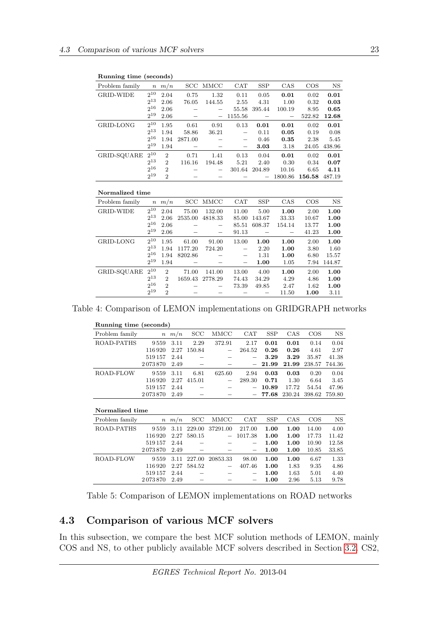| $\frac{1}{2}$ $\frac{1}{2}$ $\frac{1}{2}$ $\frac{1}{2}$ $\frac{1}{2}$ $\frac{1}{2}$ $\frac{1}{2}$ $\frac{1}{2}$ $\frac{1}{2}$ $\frac{1}{2}$ $\frac{1}{2}$ $\frac{1}{2}$ $\frac{1}{2}$ $\frac{1}{2}$ $\frac{1}{2}$ $\frac{1}{2}$ $\frac{1}{2}$ $\frac{1}{2}$ $\frac{1}{2}$ $\frac{1}{2}$ $\frac{1}{2}$ $\frac{1}{2}$ |           |                |         |         |                          |            |         |        |        |
|---------------------------------------------------------------------------------------------------------------------------------------------------------------------------------------------------------------------------------------------------------------------------------------------------------------------|-----------|----------------|---------|---------|--------------------------|------------|---------|--------|--------|
| Problem family                                                                                                                                                                                                                                                                                                      |           | $n \, m/n$     | SCC     | MMCC    | CAT                      | <b>SSP</b> | CAS     | $\cos$ | NS     |
| GRID-WIDE                                                                                                                                                                                                                                                                                                           | $2^{10}$  | 2.04           | 0.75    | 1.32    | 0.11                     | 0.05       | 0.01    | 0.02   | 0.01   |
|                                                                                                                                                                                                                                                                                                                     | $2^{13}$  | 2.06           | 76.05   | 144.55  | 2.55                     | 4.31       | 1.00    | 0.32   | 0.03   |
|                                                                                                                                                                                                                                                                                                                     | $2^{16}$  | 2.06           |         |         | 55.58                    | 395.44     | 100.19  | 8.95   | 0.65   |
|                                                                                                                                                                                                                                                                                                                     | $2^{19}$  | 2.06           |         |         | 1155.56                  |            |         | 522.82 | 12.68  |
| GRID-LONG                                                                                                                                                                                                                                                                                                           | $2^{10}$  | 1.95           | 0.61    | 0.91    | 0.13                     | 0.01       | 0.01    | 0.02   | 0.01   |
|                                                                                                                                                                                                                                                                                                                     | $2^{13}$  | 1.94           | 58.86   | 36.21   |                          | 0.11       | 0.05    | 0.19   | 0.08   |
|                                                                                                                                                                                                                                                                                                                     | $2^{16}$  | 1.94           | 2871.00 |         | $\overline{\phantom{m}}$ | 0.46       | 0.35    | 2.38   | 5.45   |
|                                                                                                                                                                                                                                                                                                                     | $2^{19}$  | 1.94           |         |         | $\overline{\phantom{0}}$ | 3.03       | 3.18    | 24.05  | 438.96 |
| GRID-SQUARE                                                                                                                                                                                                                                                                                                         | $2^{10}$  | $\mathbf{2}$   | 0.71    | 1.41    | 0.13                     | 0.04       | 0.01    | 0.02   | 0.01   |
|                                                                                                                                                                                                                                                                                                                     | $2^{13}$  | $\overline{2}$ | 116.16  | 194.48  | 5.21                     | 2.40       | 0.30    | 0.34   | 0.07   |
|                                                                                                                                                                                                                                                                                                                     | $2^{16}$  | $\mathfrak{D}$ |         |         | 301.64                   | 204.89     | 10.16   | 6.65   | 4.11   |
|                                                                                                                                                                                                                                                                                                                     | $2^{19}$  | $\overline{2}$ |         |         |                          |            | 1800.86 | 156.58 | 487.19 |
|                                                                                                                                                                                                                                                                                                                     |           |                |         |         |                          |            |         |        |        |
| Normalized time                                                                                                                                                                                                                                                                                                     |           |                |         |         |                          |            |         |        |        |
| Problem family                                                                                                                                                                                                                                                                                                      | $\, n \,$ | m/n            | SCC     | MMCC    | CAT                      | <b>SSP</b> | CAS     | $\cos$ | NS     |
| <b>GRID-WIDE</b>                                                                                                                                                                                                                                                                                                    | $2^{10}$  | 2.04           | 75.00   | 132.00  | 11.00                    | 5.00       | 1.00    | 2.00   | 1.00   |
|                                                                                                                                                                                                                                                                                                                     | $2^{13}$  | 2.06           | 2535.00 | 4818.33 | 85.00                    | 143.67     | 33.33   | 10.67  | 1.00   |
|                                                                                                                                                                                                                                                                                                                     | $2^{16}$  | 2.06           |         |         | 85.51                    | 608.37     | 154.14  | 13.77  | 1.00   |
|                                                                                                                                                                                                                                                                                                                     | $2^{19}$  | 2.06           |         |         | 91.13                    |            |         | 41.23  | 1.00   |

Running time (seconds)

|                  | 2TT      | ∠              |            |         |                          |            | 1000.00 | 190.90 | -401.19   |  |  |  |  |
|------------------|----------|----------------|------------|---------|--------------------------|------------|---------|--------|-----------|--|--|--|--|
|                  |          |                |            |         |                          |            |         |        |           |  |  |  |  |
| Normalized time  |          |                |            |         |                          |            |         |        |           |  |  |  |  |
| Problem family   |          | $n \, m/n$     | <b>SCC</b> | MMCC    | CAT                      | <b>SSP</b> | CAS     | $\cos$ | <b>NS</b> |  |  |  |  |
| <b>GRID-WIDE</b> | $2^{10}$ | 2.04           | 75.00      | 132.00  | 11.00                    | 5.00       | 1.00    | 2.00   | 1.00      |  |  |  |  |
|                  | $2^{13}$ | 2.06           | 2535.00    | 4818.33 | 85.00                    | 143.67     | 33.33   | 10.67  | 1.00      |  |  |  |  |
|                  | $2^{16}$ | 2.06           |            |         | 85.51                    | 608.37     | 154.14  | 13.77  | 1.00      |  |  |  |  |
|                  | $2^{19}$ | 2.06           |            | —       | 91.13                    |            |         | 41.23  | 1.00      |  |  |  |  |
| GRID-LONG        | $2^{10}$ | 1.95           | 61.00      | 91.00   | 13.00                    | 1.00       | 1.00    | 2.00   | 1.00      |  |  |  |  |
|                  | $2^{13}$ | 1.94           | 1177.20    | 724.20  |                          | 2.20       | 1.00    | 3.80   | 1.60      |  |  |  |  |
|                  | $2^{16}$ | 1.94           | 8202.86    |         | $\hspace{0.05cm}$        | 1.31       | 1.00    | 6.80   | 15.57     |  |  |  |  |
|                  | $2^{19}$ | 1.94           |            |         | $\overline{\phantom{m}}$ | 1.00       | 1.05    | 7.94   | 144.87    |  |  |  |  |
| GRID-SQUARE      | $2^{10}$ | $\overline{2}$ | 71.00      | 141.00  | 13.00                    | 4.00       | 1.00    | 2.00   | 1.00      |  |  |  |  |
|                  | $2^{13}$ | $\overline{2}$ | 1659.43    | 2778.29 | 74.43                    | 34.29      | 4.29    | 4.86   | 1.00      |  |  |  |  |
|                  | $2^{16}$ | $\mathbf{2}$   |            |         | 73.39                    | 49.85      | 2.47    | 1.62   | 1.00      |  |  |  |  |
|                  | $2^{19}$ | $\overline{2}$ |            |         |                          |            | 11.50   | 1.00   | 3.11      |  |  |  |  |

Table 4: Comparison of LEMON implementations on GRIDGRAPH networks

<span id="page-23-0"></span>

| Running time (seconds) |         |      |        |                          |            |            |        |        |        |  |  |  |  |  |
|------------------------|---------|------|--------|--------------------------|------------|------------|--------|--------|--------|--|--|--|--|--|
| Problem family         | $\,n$   | m/n  | SCC    | MMCC                     | <b>CAT</b> | <b>SSP</b> | CAS    | $\cos$ | NS     |  |  |  |  |  |
| ROAD-PATHS             | 9559    | 3.11 | 2.29   | 372.91                   | 2.17       | 0.01       | 0.01   | 0.14   | 0.04   |  |  |  |  |  |
|                        | 116920  | 2.27 | 150.84 |                          | 264.52     | 0.26       | 0.26   | 4.61   | 2.97   |  |  |  |  |  |
|                        | 519157  | 2.44 |        |                          |            | 3.29       | 3.29   | 35.87  | 41.38  |  |  |  |  |  |
|                        | 2073870 | 2.49 |        |                          |            | 21.99      | 21.99  | 238.57 | 744.36 |  |  |  |  |  |
| ROAD-FLOW              | 9559    | 3.11 | 6.81   | 625.60                   | 2.94       | 0.03       | 0.03   | 0.20   | 0.04   |  |  |  |  |  |
|                        | 116920  | 2.27 | 415.01 | $\overline{\phantom{0}}$ | 289.30     | 0.71       | 1.30   | 6.64   | 3.45   |  |  |  |  |  |
|                        | 519157  | 2.44 |        |                          |            | 10.89      | 17.72  | 54.54  | 47.96  |  |  |  |  |  |
|                        | 2073870 | 2.49 |        |                          |            | 77.68      | 230.24 | 398.62 | 759.80 |  |  |  |  |  |
|                        |         |      |        |                          |            |            |        |        |        |  |  |  |  |  |

| Normalized time |         |            |        |                          |            |            |      |       |             |  |  |  |  |  |
|-----------------|---------|------------|--------|--------------------------|------------|------------|------|-------|-------------|--|--|--|--|--|
| Problem family  |         | $n \, m/n$ | SCC    | MMCC                     | <b>CAT</b> | <b>SSP</b> | CAS  | COS   | $_{\rm NS}$ |  |  |  |  |  |
| ROAD-PATHS      | 9559    | 3.11       | 229.00 | 37291.00                 | 217.00     | 1.00       | 1.00 | 14.00 | 4.00        |  |  |  |  |  |
|                 | 116 920 | 2.27       | 580.15 | $\overline{\phantom{m}}$ | 1017.38    | 1.00       | 1.00 | 17.73 | 11.42       |  |  |  |  |  |
|                 | 519157  | 2.44       |        |                          |            | 1.00       | 1.00 | 10.90 | 12.58       |  |  |  |  |  |
|                 | 2073870 | 2.49       |        |                          |            | 1.00       | 1.00 | 10.85 | 33.85       |  |  |  |  |  |
| ROAD-FLOW       | 9559    | 3.11       | 227.00 | 20853.33                 | 98.00      | 1.00       | 1.00 | 6.67  | 1.33        |  |  |  |  |  |
|                 | 116 920 | 2.27       | 584.52 | $\overline{\phantom{a}}$ | 407.46     | 1.00       | 1.83 | 9.35  | 4.86        |  |  |  |  |  |
|                 | 519157  | 2.44       |        |                          |            | 1.00       | 1.63 | 5.01  | 4.40        |  |  |  |  |  |
|                 | 2073870 | 2.49       |        |                          |            | 1.00       | 2.96 | 5.13  | 9.78        |  |  |  |  |  |

<span id="page-23-1"></span>Table 5: Comparison of LEMON implementations on ROAD networks

## 4.3 Comparison of various MCF solvers

In this subsection, we compare the best MCF solution methods of LEMON, mainly COS and NS, to other publicly available MCF solvers described in Section [3.2.](#page-15-0) CS2,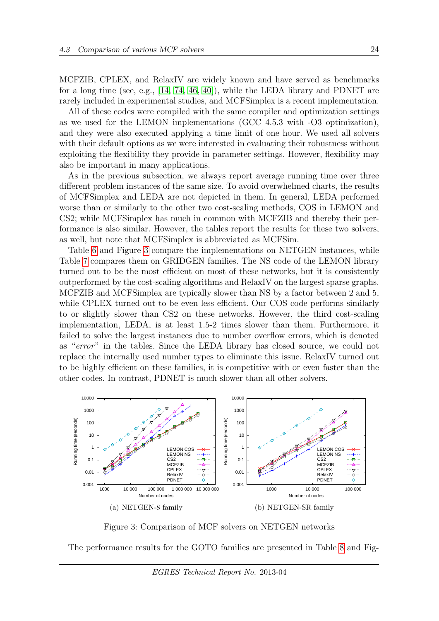MCFZIB, CPLEX, and RelaxIV are widely known and have served as benchmarks for a long time (see, e.g., [\[14,](#page-33-2) [74,](#page-37-0) [46,](#page-35-2) [40\]](#page-34-0)), while the LEDA library and PDNET are rarely included in experimental studies, and MCFSimplex is a recent implementation.

All of these codes were compiled with the same compiler and optimization settings as we used for the LEMON implementations (GCC 4.5.3 with -O3 optimization), and they were also executed applying a time limit of one hour. We used all solvers with their default options as we were interested in evaluating their robustness without exploiting the flexibility they provide in parameter settings. However, flexibility may also be important in many applications.

As in the previous subsection, we always report average running time over three different problem instances of the same size. To avoid overwhelmed charts, the results of MCFSimplex and LEDA are not depicted in them. In general, LEDA performed worse than or similarly to the other two cost-scaling methods, COS in LEMON and CS2; while MCFSimplex has much in common with MCFZIB and thereby their performance is also similar. However, the tables report the results for these two solvers, as well, but note that MCFSimplex is abbreviated as MCFSim.

Table [6](#page-25-0) and Figure [3](#page-24-0) compare the implementations on NETGEN instances, while Table [7](#page-26-0) compares them on GRIDGEN families. The NS code of the LEMON library turned out to be the most efficient on most of these networks, but it is consistently outperformed by the cost-scaling algorithms and RelaxIV on the largest sparse graphs. MCFZIB and MCFSimplex are typically slower than NS by a factor between 2 and 5, while CPLEX turned out to be even less efficient. Our COS code performs similarly to or slightly slower than CS2 on these networks. However, the third cost-scaling implementation, LEDA, is at least 1.5-2 times slower than them. Furthermore, it failed to solve the largest instances due to number overflow errors, which is denoted as "error" in the tables. Since the LEDA library has closed source, we could not replace the internally used number types to eliminate this issue. RelaxIV turned out to be highly efficient on these families, it is competitive with or even faster than the other codes. In contrast, PDNET is much slower than all other solvers.



<span id="page-24-0"></span>Figure 3: Comparison of MCF solvers on NETGEN networks

The performance results for the GOTO families are presented in Table [8](#page-27-0) and Fig-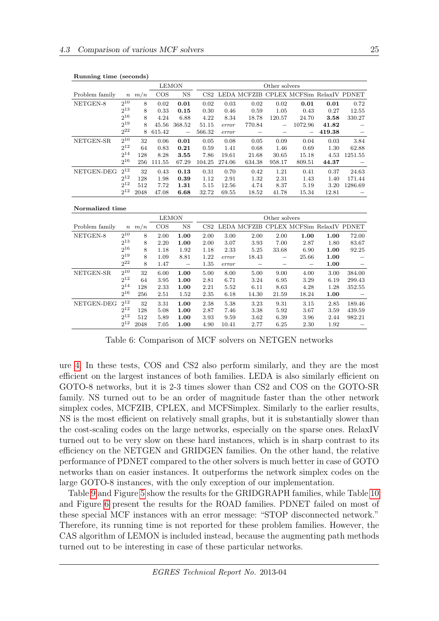|                | <b>LEMON</b> |            |        |                          |        | Other solvers |        |                          |                                        |        |         |  |  |
|----------------|--------------|------------|--------|--------------------------|--------|---------------|--------|--------------------------|----------------------------------------|--------|---------|--|--|
| Problem family |              | $n \, m/n$ | COS    | $_{\rm NS}$              | CS2    |               |        |                          | LEDA MCFZIB CPLEX MCFSim RelaxIV PDNET |        |         |  |  |
| NETGEN-8       | $2^{10}$     | 8          | 0.02   | 0.01                     | 0.02   | 0.03          | 0.02   | 0.02                     | 0.01                                   | 0.01   | 0.72    |  |  |
|                | $2^{13}$     | 8          | 0.33   | 0.15                     | 0.30   | 0.46          | 0.59   | 1.05                     | 0.43                                   | 0.27   | 12.55   |  |  |
|                | $2^{16}$     | 8          | 4.24   | 6.88                     | 4.22   | 8.34          | 18.78  | 120.57                   | 24.70                                  | 3.58   | 330.27  |  |  |
|                | $2^{19}$     | 8          | 45.56  | 368.52                   | 51.15  | error         | 770.84 | $\overline{\phantom{m}}$ | 1072.96                                | 41.82  |         |  |  |
|                | $2^{22}$     | 8          | 615.42 | $\overline{\phantom{m}}$ | 566.32 | error         |        |                          |                                        | 419.38 |         |  |  |
| NETGEN-SR      | $2^{10}$     | 32         | 0.06   | 0.01                     | 0.05   | 0.08          | 0.05   | 0.09                     | 0.04                                   | 0.03   | 3.84    |  |  |
|                | $2^{12}$     | 64         | 0.83   | 0.21                     | 0.59   | 1.41          | 0.68   | 1.46                     | 0.69                                   | 1.30   | 62.88   |  |  |
|                | $2^{14}$     | 128        | 8.28   | 3.55                     | 7.86   | 19.61         | 21.68  | 30.65                    | 15.18                                  | 4.53   | 1251.55 |  |  |
|                | $2^{16}$     | 256        | 111.55 | 67.29                    | 104.25 | 274.06        | 634.38 | 958.17                   | 809.51                                 | 44.37  |         |  |  |
| NETGEN-DEG     | $2^{12}$     | 32         | 0.43   | 0.13                     | 0.31   | 0.70          | 0.42   | 1.21                     | 0.41                                   | 0.37   | 24.63   |  |  |
|                | $2^{12}$     | 128        | 1.98   | 0.39                     | 1.12   | 2.91          | 1.32   | 2.31                     | 1.43                                   | 1.40   | 171.44  |  |  |
|                | $2^{12}$     | 512        | 7.72   | 1.31                     | 5.15   | 12.56         | 4.74   | 8.37                     | 5.19                                   | 3.20   | 1286.69 |  |  |
|                | $2^{12}$     | 2048       | 47.08  | 6.68                     | 32.72  | 69.55         | 18.52  | 41.78                    | 15.34                                  | 12.81  |         |  |  |

#### Normalized time

|                |          |            | <b>LEMON</b> |                          | Other solvers   |       |       |       |                                        |      |        |
|----------------|----------|------------|--------------|--------------------------|-----------------|-------|-------|-------|----------------------------------------|------|--------|
| Problem family |          | $n \, m/n$ | $\cos$       | $_{\rm NS}$              | CS <sub>2</sub> |       |       |       | LEDA MCFZIB CPLEX MCFSim RelaxIV PDNET |      |        |
| NETGEN-8       | $2^{10}$ | 8          | 2.00         | 1.00                     | 2.00            | 3.00  | 2.00  | 2.00  | 1.00                                   | 1.00 | 72.00  |
|                | $2^{13}$ | 8          | 2.20         | 1.00                     | 2.00            | 3.07  | 3.93  | 7.00  | 2.87                                   | 1.80 | 83.67  |
|                | $2^{16}$ | 8          | 1.18         | 1.92                     | 1.18            | 2.33  | 5.25  | 33.68 | 6.90                                   | 1.00 | 92.25  |
|                | $2^{19}$ | 8          | 1.09         | 8.81                     | 1.22            | error | 18.43 |       | 25.66                                  | 1.00 |        |
|                | $2^{22}$ | 8          | 1.47         | $\overline{\phantom{m}}$ | 1.35            | error |       |       |                                        | 1.00 |        |
| NETGEN-SR      | $2^{10}$ | 32         | 6.00         | 1.00                     | 5.00            | 8.00  | 5.00  | 9.00  | 4.00                                   | 3.00 | 384.00 |
|                | $2^{12}$ | 64         | 3.95         | 1.00                     | 2.81            | 6.71  | 3.24  | 6.95  | 3.29                                   | 6.19 | 299.43 |
|                | $2^{14}$ | 128        | 2.33         | 1.00                     | 2.21            | 5.52  | 6.11  | 8.63  | 4.28                                   | 1.28 | 352.55 |
|                | $2^{16}$ | 256        | 2.51         | 1.52                     | 2.35            | 6.18  | 14.30 | 21.59 | 18.24                                  | 1.00 |        |
| NETGEN-DEG     | $2^{12}$ | 32         | 3.31         | 1.00                     | 2.38            | 5.38  | 3.23  | 9.31  | 3.15                                   | 2.85 | 189.46 |
|                | $2^{12}$ | 128        | 5.08         | 1.00                     | 2.87            | 7.46  | 3.38  | 5.92  | 3.67                                   | 3.59 | 439.59 |
|                | $2^{12}$ | 512        | 5.89         | 1.00                     | 3.93            | 9.59  | 3.62  | 6.39  | 3.96                                   | 2.44 | 982.21 |
|                | $2^{12}$ | 2048       | 7.05         | 1.00                     | 4.90            | 10.41 | 2.77  | 6.25  | 2.30                                   | 1.92 |        |

<span id="page-25-0"></span>Table 6: Comparison of MCF solvers on NETGEN networks

ure [4.](#page-26-1) In these tests, COS and CS2 also perform similarly, and they are the most efficient on the largest instances of both families. LEDA is also similarly efficient on GOTO-8 networks, but it is 2-3 times slower than CS2 and COS on the GOTO-SR family. NS turned out to be an order of magnitude faster than the other network simplex codes, MCFZIB, CPLEX, and MCFSimplex. Similarly to the earlier results, NS is the most efficient on relatively small graphs, but it is substantially slower than the cost-scaling codes on the large networks, especially on the sparse ones. RelaxIV turned out to be very slow on these hard instances, which is in sharp contrast to its efficiency on the NETGEN and GRIDGEN families. On the other hand, the relative performance of PDNET compared to the other solvers is much better in case of GOTO networks than on easier instances. It outperforms the network simplex codes on the large GOTO-8 instances, with the only exception of our implementation.

Table [9](#page-27-1) and Figure [5](#page-28-0) show the results for the GRIDGRAPH families, while Table [10](#page-29-0) and Figure [6](#page-28-1) present the results for the ROAD families. PDNET failed on most of these special MCF instances with an error message: "STOP disconnected network." Therefore, its running time is not reported for these problem families. However, the CAS algorithm of LEMON is included instead, because the augmenting path methods turned out to be interesting in case of these particular networks.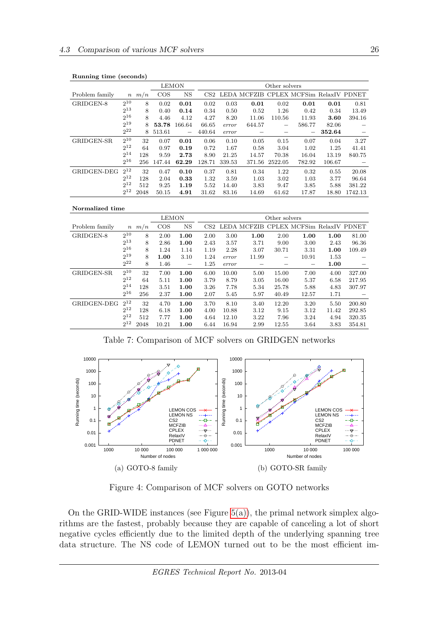| ັ<br>$\cdot$   |                  | $\overline{\phantom{a}}$ | <b>LEMON</b> |                          | Other solvers |        |        |         |                                        |        |         |
|----------------|------------------|--------------------------|--------------|--------------------------|---------------|--------|--------|---------|----------------------------------------|--------|---------|
| Problem family | $\boldsymbol{n}$ | m/n                      | $\cos$       | $_{\rm NS}$              | CS2           |        |        |         | LEDA MCFZIB CPLEX MCFSim RelaxIV PDNET |        |         |
| GRIDGEN-8      | $2^{10}$         | 8                        | 0.02         | 0.01                     | 0.02          | 0.03   | 0.01   | 0.02    | 0.01                                   | 0.01   | 0.81    |
|                | $2^{13}$         | 8                        | 0.40         | 0.14                     | 0.34          | 0.50   | 0.52   | 1.26    | 0.42                                   | 0.34   | 13.49   |
|                | $2^{16}$         | 8                        | 4.46         | 4.12                     | 4.27          | 8.20   | 11.06  | 110.56  | 11.93                                  | 3.60   | 394.16  |
|                | $2^{19}$         | 8                        | 53.78        | 166.64                   | 66.65         | error  | 644.57 |         | 586.77                                 | 82.06  |         |
|                | $2^{22}$         | 8                        | 513.61       | $\overline{\phantom{m}}$ | 440.64        | error  |        |         | $\overline{\phantom{m}}$               | 352.64 |         |
| GRIDGEN-SR     | $2^{10}$         | 32                       | 0.07         | 0.01                     | 0.06          | 0.10   | 0.05   | 0.15    | 0.07                                   | 0.04   | 3.27    |
|                | $2^{12}$         | 64                       | 0.97         | 0.19                     | 0.72          | 1.67   | 0.58   | 3.04    | 1.02                                   | 1.25   | 41.41   |
|                | $2^{14}$         | 128                      | 9.59         | 2.73                     | 8.90          | 21.25  | 14.57  | 70.38   | 16.04                                  | 13.19  | 840.75  |
|                | $2^{16}$         | 256                      | 147.44       | 62.29                    | 128.71        | 339.53 | 371.56 | 2522.05 | 782.92                                 | 106.67 |         |
| GRIDGEN-DEG    | $2^{12}$         | 32                       | 0.47         | 0.10                     | 0.37          | 0.81   | 0.34   | 1.22    | 0.32                                   | 0.55   | 20.08   |
|                | $2^{12}$         | 128                      | 2.04         | 0.33                     | 1.32          | 3.59   | 1.03   | 3.02    | 1.03                                   | 3.77   | 96.64   |
|                | $2^{12}$         | 512                      | 9.25         | 1.19                     | 5.52          | 14.40  | 3.83   | 9.47    | 3.85                                   | 5.88   | 381.22  |
|                | $2^{12}$         | 2048                     | 50.15        | 4.91                     | 31.62         | 83.16  | 14.69  | 61.62   | 17.87                                  | 18.80  | 1742.13 |

#### Normalized time

|                |                  |      | <b>LEMON</b> |                          | Other solvers   |       |             |       |                            |       |        |
|----------------|------------------|------|--------------|--------------------------|-----------------|-------|-------------|-------|----------------------------|-------|--------|
| Problem family | $\boldsymbol{n}$ | m/n  | $\cos$       | <b>NS</b>                | CS <sub>2</sub> |       | LEDA MCFZIB |       | CPLEX MCFSim RelaxIV PDNET |       |        |
| GRIDGEN-8      | $2^{10}$         | 8    | 2.00         | 1.00                     | 2.00            | 3.00  | 1.00        | 2.00  | 1.00                       | 1.00  | 81.00  |
|                | $2^{13}$         | 8    | 2.86         | 1.00                     | 2.43            | 3.57  | 3.71        | 9.00  | 3.00                       | 2.43  | 96.36  |
|                | $2^{16}$         | 8    | 1.24         | 1.14                     | 1.19            | 2.28  | 3.07        | 30.71 | 3.31                       | 1.00  | 109.49 |
|                | $2^{19}$         | 8    | 1.00         | 3.10                     | 1.24            | error | 11.99       | —     | 10.91                      | 1.53  |        |
|                | $2^{22}$         | 8    | 1.46         | $\overline{\phantom{m}}$ | 1.25            | error |             |       | $\hspace{0.05cm}$          | 1.00  |        |
| GRIDGEN-SR     | $2^{10}$         | 32   | 7.00         | 1.00                     | 6.00            | 10.00 | 5.00        | 15.00 | 7.00                       | 4.00  | 327.00 |
|                | $2^{12}$         | 64   | 5.11         | 1.00                     | 3.79            | 8.79  | 3.05        | 16.00 | 5.37                       | 6.58  | 217.95 |
|                | $2^{14}$         | 128  | 3.51         | 1.00                     | 3.26            | 7.78  | 5.34        | 25.78 | 5.88                       | 4.83  | 307.97 |
|                | $2^{16}$         | 256  | 2.37         | 1.00                     | 2.07            | 5.45  | 5.97        | 40.49 | 12.57                      | 1.71  |        |
| GRIDGEN-DEG    | $2^{12}$         | 32   | 4.70         | 1.00                     | 3.70            | 8.10  | 3.40        | 12.20 | 3.20                       | 5.50  | 200.80 |
|                | $2^{12}$         | 128  | 6.18         | 1.00                     | 4.00            | 10.88 | 3.12        | 9.15  | 3.12                       | 11.42 | 292.85 |
|                | $2^{12}$         | 512  | 7.77         | 1.00                     | 4.64            | 12.10 | 3.22        | 7.96  | 3.24                       | 4.94  | 320.35 |
|                | $2^{12}$         | 2048 | 10.21        | 1.00                     | 6.44            | 16.94 | 2.99        | 12.55 | 3.64                       | 3.83  | 354.81 |

<span id="page-26-0"></span>Table 7: Comparison of MCF solvers on GRIDGEN networks



<span id="page-26-1"></span>Figure 4: Comparison of MCF solvers on GOTO networks

On the GRID-WIDE instances (see Figure  $5(a)$ ), the primal network simplex algorithms are the fastest, probably because they are capable of canceling a lot of short negative cycles efficiently due to the limited depth of the underlying spanning tree data structure. The NS code of LEMON turned out to be the most efficient im-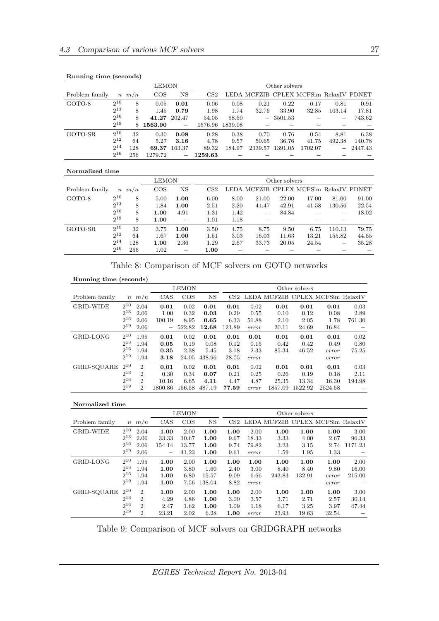|                |          |            | LEMON   | Other solvers |         |         |                                        |         |         |                   |         |
|----------------|----------|------------|---------|---------------|---------|---------|----------------------------------------|---------|---------|-------------------|---------|
| Problem family |          | $n \, m/n$ | $\cos$  | $_{\rm NS}$   | CS2     |         | LEDA MCFZIB CPLEX MCFSim RelaxIV PDNET |         |         |                   |         |
| GOTO-8         | $2^{10}$ | 8          | 0.05    | 0.01          | 0.06    | 0.08    | 0.21                                   | 0.22    | 0.17    | 0.81              | 0.91    |
|                | $2^{13}$ | 8          | 1.45    | 0.79          | 1.98    | 1.74    | 32.76                                  | 33.90   | 32.85   | 103.14            | 17.81   |
|                | $2^{16}$ | 8          | 41.27   | 202.47        | 54.05   | 58.50   | $\overline{\phantom{m}}$               | 3501.53 |         | –                 | 743.62  |
|                | $2^{19}$ | 8          | 1563.90 |               | 1576.96 | 1839.08 |                                        |         |         |                   |         |
| GOTO-SR        | $2^{10}$ | 32         | 0.30    | 0.08          | 0.28    | 0.38    | 0.70                                   | 0.76    | 0.54    | 8.81              | 6.38    |
|                | $2^{12}$ | 64         | 5.27    | 3.16          | 4.78    | 9.57    | 50.65                                  | 36.76   | 41.75   | 492.38            | 140.78  |
|                | $2^{14}$ | 128        | 69.37   | 163.37        | 89.32   | 184.97  | 2339.57                                | 1391.05 | 1702.07 | $\qquad \qquad -$ | 2447.43 |
|                | $2^{16}$ | 256        | 1279.72 | —             | 1259.63 |         |                                        |         |         |                   |         |

### Normalized time

|                |          |            | LEMON  |                          | Other solvers   |      |                          |       |                                        |                          |       |  |
|----------------|----------|------------|--------|--------------------------|-----------------|------|--------------------------|-------|----------------------------------------|--------------------------|-------|--|
| Problem family |          | $n \, m/n$ | $\cos$ | $_{\rm NS}$              | CS <sub>2</sub> |      |                          |       | LEDA MCFZIB CPLEX MCFSim RelaxIV PDNET |                          |       |  |
| GOTO-8         | $2^{10}$ | 8          | 5.00   | 1.00                     | 6.00            | 8.00 | 21.00                    | 22.00 | 17.00                                  | 81.00                    | 91.00 |  |
|                | $2^{13}$ | 8          | 1.84   | 1.00                     | 2.51            | 2.20 | 41.47                    | 42.91 | 41.58                                  | 130.56                   | 22.54 |  |
|                | $2^{16}$ | 8          | 1.00   | 4.91                     | 1.31            | 1.42 | $\overline{\phantom{a}}$ | 84.84 |                                        | –                        | 18.02 |  |
|                | $2^{19}$ | 8          | 1.00   |                          | 1.01            | 1.18 |                          |       |                                        |                          |       |  |
| GOTO-SR        | $2^{10}$ | 32         | 3.75   | 1.00                     | 3.50            | 4.75 | 8.75                     | 9.50  | 6.75                                   | 110.13                   | 79.75 |  |
|                | $2^{12}$ | 64         | 1.67   | 1.00                     | 1.51            | 3.03 | 16.03                    | 11.63 | 13.21                                  | 155.82                   | 44.55 |  |
|                | $2^{14}$ | 128        | 1.00   | 2.36                     | 1.29            | 2.67 | 33.73                    | 20.05 | 24.54                                  | $\overline{\phantom{0}}$ | 35.28 |  |
|                | $2^{16}$ | 256        | 1.02   | $\overline{\phantom{m}}$ | 1.00            |      |                          |       |                                        |                          |       |  |

## <span id="page-27-0"></span>Table 8: Comparison of MCF solvers on GOTO networks

#### Running time (seconds)

|                  |                  |                |                          | <b>LEMON</b> |             | Other solvers   |       |         |         |                                  |                          |  |
|------------------|------------------|----------------|--------------------------|--------------|-------------|-----------------|-------|---------|---------|----------------------------------|--------------------------|--|
| Problem family   | $\boldsymbol{n}$ | m/n            | CAS                      | $\cos$       | $_{\rm NS}$ | CS <sub>2</sub> |       |         |         | LEDA MCFZIB CPLEX MCFSim RelaxIV |                          |  |
| <b>GRID-WIDE</b> | $2^{10}$         | 2.04           | 0.01                     | 0.02         | 0.01        | 0.01            | 0.02  | 0.01    | 0.01    | 0.01                             | 0.03                     |  |
|                  | $2^{13}$         | 2.06           | 1.00                     | 0.32         | 0.03        | 0.29            | 0.55  | 0.10    | 0.12    | 0.08                             | 2.89                     |  |
|                  | $2^{16}$         | 2.06           | 100.19                   | 8.95         | 0.65        | 6.33            | 51.88 | 2.10    | 2.05    | 1.78                             | 761.30                   |  |
|                  | $2^{19}$         | 2.06           | $\overline{\phantom{0}}$ | 522.82       | 12.68       | 121.89          | error | 20.11   | 24.69   | 16.84                            | $\overline{\phantom{0}}$ |  |
| GRID-LONG        | $2^{10}$         | 1.95           | 0.01                     | 0.02         | 0.01        | 0.01            | 0.01  | 0.01    | 0.01    | 0.01                             | 0.02                     |  |
|                  | $2^{13}$         | 1.94           | 0.05                     | 0.19         | 0.08        | 0.12            | 0.15  | 0.42    | 0.42    | 0.49                             | 0.80                     |  |
|                  | $2^{16}$         | 1.94           | 0.35                     | 2.38         | 5.45        | 3.18            | 2.33  | 85.34   | 46.52   | error                            | 75.25                    |  |
|                  | $2^{19}$         | 1.94           | 3.18                     | 24.05        | 438.96      | 28.05           | error |         |         | error                            |                          |  |
| GRID-SQUARE      | $2^{10}$         | $\overline{2}$ | 0.01                     | 0.02         | 0.01        | 0.01            | 0.02  | 0.01    | 0.01    | 0.01                             | 0.03                     |  |
|                  | $2^{13}$         | $\overline{2}$ | 0.30                     | 0.34         | 0.07        | 0.21            | 0.25  | 0.26    | 0.19    | 0.18                             | 2.11                     |  |
|                  | $2^{16}$         | $\overline{2}$ | 10.16                    | 6.65         | 4.11        | 4.47            | 4.87  | 25.35   | 13.34   | 16.30                            | 194.98                   |  |
|                  | $2^{19}$         | $\overline{2}$ | 1800.86                  | 156.58       | 487.19      | 77.59           | error | 1857.09 | 1522.92 | 2524.58                          |                          |  |

#### Normalized time

|                  |                  |                             |        | <b>LEMON</b> |             | Other solvers   |       |        |        |                                  |         |  |
|------------------|------------------|-----------------------------|--------|--------------|-------------|-----------------|-------|--------|--------|----------------------------------|---------|--|
| Problem family   | $\boldsymbol{n}$ | m/n                         | CAS    | $\cos$       | $_{\rm NS}$ | CS <sub>2</sub> |       |        |        | LEDA MCFZIB CPLEX MCFSim RelaxIV |         |  |
| <b>GRID-WIDE</b> | $2^{10}$         | 2.04                        | 1.00   | 2.00         | 1.00        | 1.00            | 2.00  | 1.00   | 1.00   | 1.00                             | 3.00    |  |
|                  | $2^{13}$         | 2.06                        | 33.33  | 10.67        | 1.00        | 9.67            | 18.33 | 3.33   | 4.00   | 2.67                             | 96.33   |  |
|                  | $2^{16}$         | 2.06                        | 154.14 | 13.77        | 1.00        | 9.74            | 79.82 | 3.23   | 3.15   | 2.74                             | 1171.23 |  |
|                  | $2^{19}$         | 2.06                        |        | 41.23        | 1.00        | 9.61            | error | 1.59   | 1.95   | 1.33                             |         |  |
| GRID-LONG        | $2^{10}$         | 1.95                        | 1.00   | 2.00         | 1.00        | 1.00            | 1.00  | 1.00   | 1.00   | 1.00                             | 2.00    |  |
|                  | $2^{13}$         | 1.94                        | 1.00   | 3.80         | 1.60        | 2.40            | 3.00  | 8.40   | 8.40   | 9.80                             | 16.00   |  |
|                  | $2^{16}$         | 1.94                        | 1.00   | 6.80         | 15.57       | 9.09            | 6.66  | 243.83 | 132.91 | error                            | 215.00  |  |
|                  | $2^{19}$         | 1.94                        | 1.00   | 7.56         | 138.04      | 8.82            | error |        |        | error                            |         |  |
| GRID-SQUARE      | $2^{10}$         | $\overline{2}$              | 1.00   | 2.00         | 1.00        | 1.00            | 2.00  | 1.00   | 1.00   | 1.00                             | 3.00    |  |
|                  | $2^{13}$         | $\mathcal{D}_{\mathcal{L}}$ | 4.29   | 4.86         | 1.00        | 3.00            | 3.57  | 3.71   | 2.71   | 2.57                             | 30.14   |  |
|                  | $2^{16}$         | $\overline{2}$              | 2.47   | 1.62         | 1.00        | 1.09            | 1.18  | 6.17   | 3.25   | 3.97                             | 47.44   |  |
|                  | $2^{19}$         | $\overline{2}$              | 23.21  | 2.02         | 6.28        | 1.00            | error | 23.93  | 19.63  | 32.54                            |         |  |

<span id="page-27-1"></span>Table 9: Comparison of MCF solvers on GRIDGRAPH networks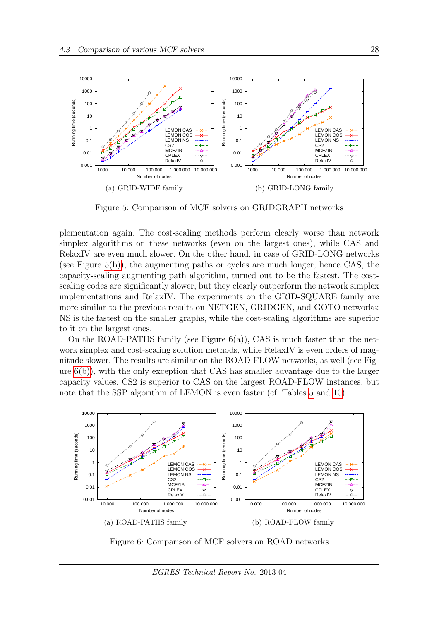<span id="page-28-2"></span>

<span id="page-28-3"></span><span id="page-28-0"></span>Figure 5: Comparison of MCF solvers on GRIDGRAPH networks

plementation again. The cost-scaling methods perform clearly worse than network simplex algorithms on these networks (even on the largest ones), while CAS and RelaxIV are even much slower. On the other hand, in case of GRID-LONG networks (see Figure  $5(b)$ ), the augmenting paths or cycles are much longer, hence CAS, the capacity-scaling augmenting path algorithm, turned out to be the fastest. The costscaling codes are significantly slower, but they clearly outperform the network simplex implementations and RelaxIV. The experiments on the GRID-SQUARE family are more similar to the previous results on NETGEN, GRIDGEN, and GOTO networks: NS is the fastest on the smaller graphs, while the cost-scaling algorithms are superior to it on the largest ones.

On the ROAD-PATHS family (see Figure  $6(a)$ ), CAS is much faster than the network simplex and cost-scaling solution methods, while RelaxIV is even orders of magnitude slower. The results are similar on the ROAD-FLOW networks, as well (see Figure [6\(b\)\)](#page-28-5), with the only exception that CAS has smaller advantage due to the larger capacity values. CS2 is superior to CAS on the largest ROAD-FLOW instances, but note that the SSP algorithm of LEMON is even faster (cf. Tables [5](#page-23-1) and [10\)](#page-29-0).

<span id="page-28-4"></span>

<span id="page-28-5"></span><span id="page-28-1"></span>Figure 6: Comparison of MCF solvers on ROAD networks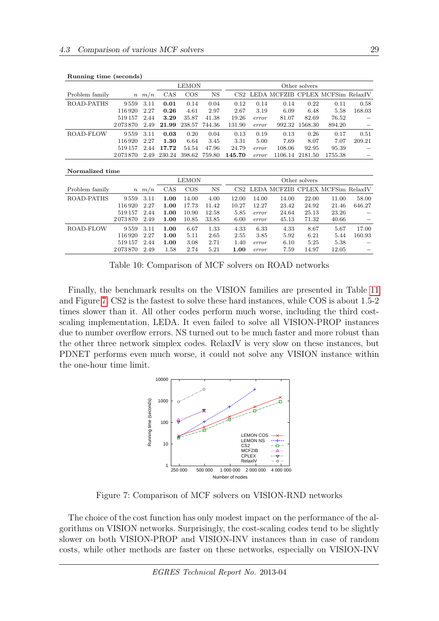|                 |         |      |        | <b>LEMON</b>  |               | Other solvers   |       |                                  |                 |         |        |  |
|-----------------|---------|------|--------|---------------|---------------|-----------------|-------|----------------------------------|-----------------|---------|--------|--|
| Problem family  | $\,n$   | m/n  | CAS    | $\cos$        | NS            | CS <sub>2</sub> |       | LEDA MCFZIB CPLEX MCFSim RelaxIV |                 |         |        |  |
| ROAD-PATHS      | 9559    | 3.11 | 0.01   | 0.14          | 0.04          | 0.12            | 0.14  | 0.14                             | 0.22            | 0.11    | 0.58   |  |
|                 | 116920  | 2.27 | 0.26   | 4.61          | 2.97          | 2.67            | 3.19  | 6.09                             | 6.48            | 5.58    | 168.03 |  |
|                 | 519157  | 2.44 | 3.29   | 35.87         | 41.38         | 19.26           | error | 81.07                            | 82.69           | 76.52   |        |  |
|                 | 2073870 | 2.49 | 21.99  |               | 238.57 744.36 | 131.90          | error | 992.32                           | 1568.30         | 894.20  |        |  |
| ROAD-FLOW       | 9559    | 3.11 | 0.03   | 0.20          | 0.04          | 0.13            | 0.19  | 0.13                             | 0.26            | 0.17    | 0.51   |  |
|                 | 116920  | 2.27 | 1.30   | 6.64          | 3.45          | 3.31            | 5.00  | 7.69                             | 8.07            | 7.07    | 209.21 |  |
|                 | 519157  | 2.44 | 17.72  | 54.54         | 47.96         | 24.79           | error | 108.06                           | 92.95           | 95.39   |        |  |
|                 | 2073870 | 2.49 | 230.24 | 398.62 759.80 |               | 145.70          | error |                                  | 1106.14 2181.50 | 1755.38 |        |  |
|                 |         |      |        |               |               |                 |       |                                  |                 |         |        |  |
| Normalized time |         |      |        |               |               |                 |       |                                  |                 |         |        |  |

| Running time (seconds) |  |  |  |
|------------------------|--|--|--|
|------------------------|--|--|--|

|                |                  |      |      | <b>LEMON</b> |           | Other solvers   |       |                                  |       |       |        |  |
|----------------|------------------|------|------|--------------|-----------|-----------------|-------|----------------------------------|-------|-------|--------|--|
| Problem family | $\boldsymbol{n}$ | m/n  | CAS  | $\cos$       | <b>NS</b> | CS <sub>2</sub> |       | LEDA MCFZIB CPLEX MCFSim RelaxIV |       |       |        |  |
| ROAD-PATHS     | 9.559            | 3.11 | 1.00 | 14.00        | 4.00      | 12.00           | 14.00 | 14.00                            | 22.00 | 11.00 | 58.00  |  |
|                | 116920           | 2.27 | 1.00 | 17.73        | 11.42     | 10.27           | 12.27 | 23.42                            | 24.92 | 21.46 | 646.27 |  |
|                | 519157           | 2.44 | 1.00 | 10.90        | 12.58     | 5.85            | error | 24.64                            | 25.13 | 23.26 |        |  |
|                | 2073870          | 2.49 | 1.00 | 10.85        | 33.85     | 6.00            | error | 45.13                            | 71.32 | 40.66 |        |  |
| ROAD-FLOW      | 9559             | 3.11 | 1.00 | 6.67         | 1.33      | 4.33            | 6.33  | 4.33                             | 8.67  | 5.67  | 17.00  |  |
|                | 116920           | 2.27 | 1.00 | 5.11         | 2.65      | 2.55            | 3.85  | 5.92                             | 6.21  | 5.44  | 160.93 |  |
|                | 519157           | 2.44 | 1.00 | 3.08         | 2.71      | 1.40            | error | 6.10                             | 5.25  | 5.38  |        |  |
|                | 2073870          | 2.49 | 1.58 | 2.74         | 5.21      | 1.00            | error | 7.59                             | 14.97 | 12.05 |        |  |
|                |                  |      |      |              |           |                 |       |                                  |       |       |        |  |

<span id="page-29-0"></span>Table 10: Comparison of MCF solvers on ROAD networks

Finally, the benchmark results on the VISION families are presented in Table [11](#page-30-0) and Figure [7.](#page-29-1) CS2 is the fastest to solve these hard instances, while COS is about 1.5-2 times slower than it. All other codes perform much worse, including the third costscaling implementation, LEDA. It even failed to solve all VISION-PROP instances due to number overflow errors. NS turned out to be much faster and more robust than the other three network simplex codes. RelaxIV is very slow on these instances, but PDNET performs even much worse, it could not solve any VISION instance within the one-hour time limit.



<span id="page-29-1"></span>Figure 7: Comparison of MCF solvers on VISION-RND networks

The choice of the cost function has only modest impact on the performance of the algorithms on VISION networks. Surprisingly, the cost-scaling codes tend to be slightly slower on both VISION-PROP and VISION-INV instances than in case of random costs, while other methods are faster on these networks, especially on VISION-INV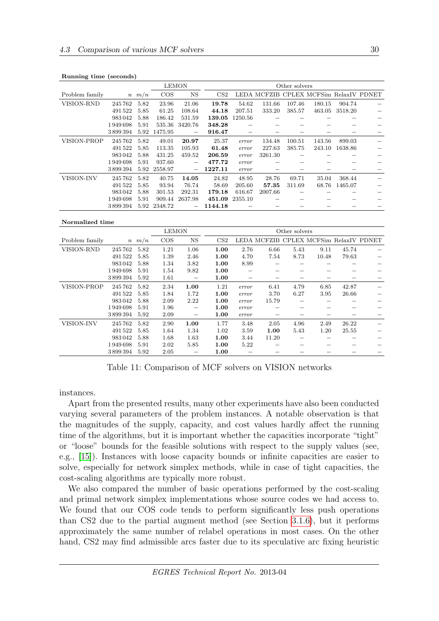|  |  | Running time (seconds) |
|--|--|------------------------|
|--|--|------------------------|

|                |         |            |         | <b>LEMON</b>             |                 |         | Other solvers |        |                                        |         |  |  |
|----------------|---------|------------|---------|--------------------------|-----------------|---------|---------------|--------|----------------------------------------|---------|--|--|
| Problem family |         | $n \, m/n$ | $\cos$  | NS                       | CS <sub>2</sub> |         |               |        | LEDA MCFZIB CPLEX MCFSim RelaxIV PDNET |         |  |  |
| VISION-RND     | 245762  | 5.82       | 23.96   | 21.06                    | 19.78           | 54.62   | 131.66        | 107.46 | 180.15                                 | 904.74  |  |  |
|                | 491522  | 5.85       | 61.25   | 108.64                   | 44.18           | 207.51  | 333.20        | 385.57 | 463.05                                 | 3518.20 |  |  |
|                | 983042  | 5.88       | 186.42  | 531.59                   | 139.05          | 1250.56 |               |        |                                        |         |  |  |
|                | 1949698 | 5.91       | 535.36  | 3420.76                  | 348.28          |         |               |        |                                        |         |  |  |
|                | 3899394 | 5.92       | 1475.95 |                          | 916.47          |         |               |        |                                        |         |  |  |
| VISION-PROP    | 245762  | 5.82       | 49.01   | 20.97                    | 25.37           | error   | 134.48        | 100.51 | 143.56                                 | 899.03  |  |  |
|                | 491522  | 5.85       | 113.35  | 105.93                   | 61.48           | error   | 227.63        | 385.75 | 243.10                                 | 1638.86 |  |  |
|                | 983042  | 5.88       | 431.25  | 459.52                   | 206.59          | error   | 3261.30       |        |                                        |         |  |  |
|                | 1949698 | 5.91       | 937.60  | $\overline{\phantom{m}}$ | 477.72          | error   |               |        |                                        |         |  |  |
|                | 3899394 | 5.92       | 2558.97 |                          | 1227.11         | error   |               |        |                                        |         |  |  |
| VISION-INV     | 245762  | 5.82       | 40.75   | 14.05                    | 24.82           | 48.95   | 28.76         | 69.71  | 35.04                                  | 368.44  |  |  |
|                | 491522  | 5.85       | 93.94   | 76.74                    | 58.69           | 205.60  | 57.35         | 311.69 | 68.76                                  | 1465.07 |  |  |
|                | 983042  | 5.88       | 301.53  | 292.31                   | 179.18          | 616.67  | 2007.66       |        |                                        |         |  |  |
|                | 1949698 | 5.91       | 909.44  | 2637.98                  | 451.09          | 2355.10 |               |        |                                        |         |  |  |
|                | 3899394 | 5.92       | 2348.72 | -                        | 1144.18         |         |               |        |                                        |         |  |  |

#### Normalized time

|                   |         |            | <b>LEMON</b> |                          |                 |       |       | Other solvers |                                        |       |  |
|-------------------|---------|------------|--------------|--------------------------|-----------------|-------|-------|---------------|----------------------------------------|-------|--|
| Problem family    |         | $n \, m/n$ | $\cos$       | $_{\rm NS}$              | CS <sub>2</sub> |       |       |               | LEDA MCFZIB CPLEX MCFSim RelaxIV PDNET |       |  |
| VISION-RND        | 245762  | 5.82       | 1.21         | 1.06                     | 1.00            | 2.76  | 6.66  | 5.43          | 9.11                                   | 45.74 |  |
|                   | 491522  | 5.85       | 1.39         | 2.46                     | 1.00            | 4.70  | 7.54  | 8.73          | 10.48                                  | 79.63 |  |
|                   | 983042  | 5.88       | 1.34         | 3.82                     | 1.00            | 8.99  |       |               |                                        |       |  |
|                   | 1949698 | 5.91       | 1.54         | 9.82                     | 1.00            |       |       |               |                                        |       |  |
|                   | 3899394 | 5.92       | 1.61         |                          | 1.00            |       |       |               |                                        |       |  |
| VISION-PROP       | 245762  | 5.82       | 2.34         | 1.00                     | 1.21            | error | 6.41  | 4.79          | 6.85                                   | 42.87 |  |
|                   | 491522  | 5.85       | 1.84         | 1.72                     | 1.00            | error | 3.70  | 6.27          | 3.95                                   | 26.66 |  |
|                   | 983042  | 5.88       | 2.09         | 2.22                     | 1.00            | error | 15.79 |               |                                        |       |  |
|                   | 1949698 | 5.91       | 1.96         | $\overline{\phantom{0}}$ | 1.00            | error |       |               |                                        |       |  |
|                   | 3899394 | 5.92       | 2.09         |                          | 1.00            | error |       |               |                                        |       |  |
| <b>VISION-INV</b> | 245762  | 5.82       | 2.90         | 1.00                     | 1.77            | 3.48  | 2.05  | 4.96          | 2.49                                   | 26.22 |  |
|                   | 491522  | 5.85       | 1.64         | 1.34                     | 1.02            | 3.59  | 1.00  | 5.43          | 1.20                                   | 25.55 |  |
|                   | 983042  | 5.88       | 1.68         | 1.63                     | 1.00            | 3.44  | 11.20 |               |                                        |       |  |
|                   | 1949698 | 5.91       | 2.02         | 5.85                     | 1.00            | 5.22  |       |               |                                        |       |  |
|                   | 3899394 | 5.92       | 2.05         |                          | 1.00            |       |       |               |                                        |       |  |

<span id="page-30-0"></span>Table 11: Comparison of MCF solvers on VISION networks

instances.

Apart from the presented results, many other experiments have also been conducted varying several parameters of the problem instances. A notable observation is that the magnitudes of the supply, capacity, and cost values hardly affect the running time of the algorithms, but it is important whether the capacities incorporate "tight" or "loose" bounds for the feasible solutions with respect to the supply values (see, e.g., [\[15\]](#page-33-5)). Instances with loose capacity bounds or infinite capacities are easier to solve, especially for network simplex methods, while in case of tight capacities, the cost-scaling algorithms are typically more robust.

We also compared the number of basic operations performed by the cost-scaling and primal network simplex implementations whose source codes we had access to. We found that our COS code tends to perform significantly less push operations than CS2 due to the partial augment method (see Section [3.1.6\)](#page-9-0), but it performs approximately the same number of relabel operations in most cases. On the other hand, CS2 may find admissible arcs faster due to its speculative arc fixing heuristic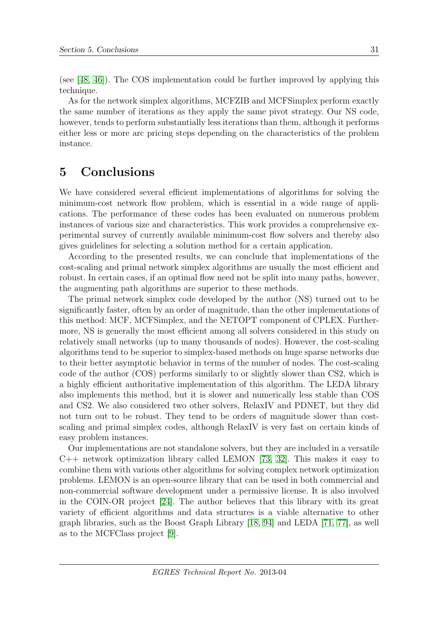(see [\[48,](#page-35-1) [46\]](#page-35-2)). The COS implementation could be further improved by applying this technique.

As for the network simplex algorithms, MCFZIB and MCFSimplex perform exactly the same number of iterations as they apply the same pivot strategy. Our NS code, however, tends to perform substantially less iterations than them, although it performs either less or more arc pricing steps depending on the characteristics of the problem instance.

## <span id="page-31-0"></span>5 Conclusions

We have considered several efficient implementations of algorithms for solving the minimum-cost network flow problem, which is essential in a wide range of applications. The performance of these codes has been evaluated on numerous problem instances of various size and characteristics. This work provides a comprehensive experimental survey of currently available minimum-cost flow solvers and thereby also gives guidelines for selecting a solution method for a certain application.

According to the presented results, we can conclude that implementations of the cost-scaling and primal network simplex algorithms are usually the most efficient and robust. In certain cases, if an optimal flow need not be split into many paths, however, the augmenting path algorithms are superior to these methods.

The primal network simplex code developed by the author (NS) turned out to be significantly faster, often by an order of magnitude, than the other implementations of this method: MCF, MCFSimplex, and the NETOPT component of CPLEX. Furthermore, NS is generally the most efficient among all solvers considered in this study on relatively small networks (up to many thousands of nodes). However, the cost-scaling algorithms tend to be superior to simplex-based methods on huge sparse networks due to their better asymptotic behavior in terms of the number of nodes. The cost-scaling code of the author (COS) performs similarly to or slightly slower than CS2, which is a highly efficient authoritative implementation of this algorithm. The LEDA library also implements this method, but it is slower and numerically less stable than COS and CS2. We also considered two other solvers, RelaxIV and PDNET, but they did not turn out to be robust. They tend to be orders of magnitude slower than costscaling and primal simplex codes, although RelaxIV is very fast on certain kinds of easy problem instances.

Our implementations are not standalone solvers, but they are included in a versatile C++ network optimization library called LEMON [\[73,](#page-37-1) [32\]](#page-34-7). This makes it easy to combine them with various other algorithms for solving complex network optimization problems. LEMON is an open-source library that can be used in both commercial and non-commercial software development under a permissive license. It is also involved in the COIN-OR project [\[24\]](#page-33-10). The author believes that this library with its great variety of efficient algorithms and data structures is a viable alternative to other graph libraries, such as the Boost Graph Library [\[18,](#page-33-14) [94\]](#page-38-13) and LEDA [\[71,](#page-37-2) [77\]](#page-37-13), as well as to the MCFClass project [\[9\]](#page-32-2).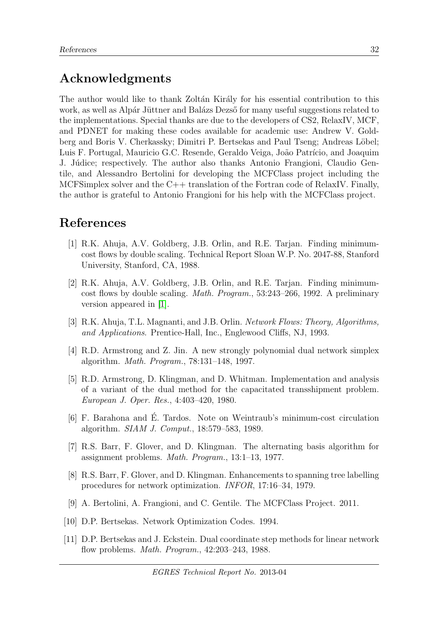## Acknowledgments

The author would like to thank Zoltán Király for his essential contribution to this work, as well as Alpár Jüttner and Balázs Dezső for many useful suggestions related to the implementations. Special thanks are due to the developers of CS2, RelaxIV, MCF, and PDNET for making these codes available for academic use: Andrew V. Goldberg and Boris V. Cherkassky; Dimitri P. Bertsekas and Paul Tseng; Andreas Löbel; Luis F. Portugal, Mauricio G.C. Resende, Geraldo Veiga, João Patrício, and Joaquim J. Júdice; respectively. The author also thanks Antonio Frangioni, Claudio Gentile, and Alessandro Bertolini for developing the MCFClass project including the MCFSimplex solver and the C++ translation of the Fortran code of RelaxIV. Finally, the author is grateful to Antonio Frangioni for his help with the MCFClass project.

## References

- <span id="page-32-5"></span>[1] R.K. Ahuja, A.V. Goldberg, J.B. Orlin, and R.E. Tarjan. Finding minimumcost flows by double scaling. Technical Report Sloan W.P. No. 2047-88, Stanford University, Stanford, CA, 1988.
- <span id="page-32-6"></span>[2] R.K. Ahuja, A.V. Goldberg, J.B. Orlin, and R.E. Tarjan. Finding minimumcost flows by double scaling. Math. Program., 53:243–266, 1992. A preliminary version appeared in [\[1\]](#page-32-5).
- <span id="page-32-0"></span>[3] R.K. Ahuja, T.L. Magnanti, and J.B. Orlin. Network Flows: Theory, Algorithms, and Applications. Prentice-Hall, Inc., Englewood Cliffs, NJ, 1993.
- <span id="page-32-7"></span>[4] R.D. Armstrong and Z. Jin. A new strongly polynomial dual network simplex algorithm. Math. Program., 78:131–148, 1997.
- <span id="page-32-1"></span>[5] R.D. Armstrong, D. Klingman, and D. Whitman. Implementation and analysis of a variant of the dual method for the capacitated transshipment problem. European J. Oper. Res., 4:403–420, 1980.
- <span id="page-32-8"></span>[6] F. Barahona and E. Tardos. Note on Weintraub's minimum-cost circulation ´ algorithm. SIAM J. Comput., 18:579–583, 1989.
- <span id="page-32-10"></span>[7] R.S. Barr, F. Glover, and D. Klingman. The alternating basis algorithm for assignment problems. Math. Program., 13:1–13, 1977.
- <span id="page-32-9"></span>[8] R.S. Barr, F. Glover, and D. Klingman. Enhancements to spanning tree labelling procedures for network optimization. INFOR, 17:16–34, 1979.
- <span id="page-32-2"></span>[9] A. Bertolini, A. Frangioni, and C. Gentile. The MCFClass Project. 2011.
- <span id="page-32-3"></span>[10] D.P. Bertsekas. Network Optimization Codes. 1994.
- <span id="page-32-4"></span>[11] D.P. Bertsekas and J. Eckstein. Dual coordinate step methods for linear network flow problems. Math. Program., 42:203–243, 1988.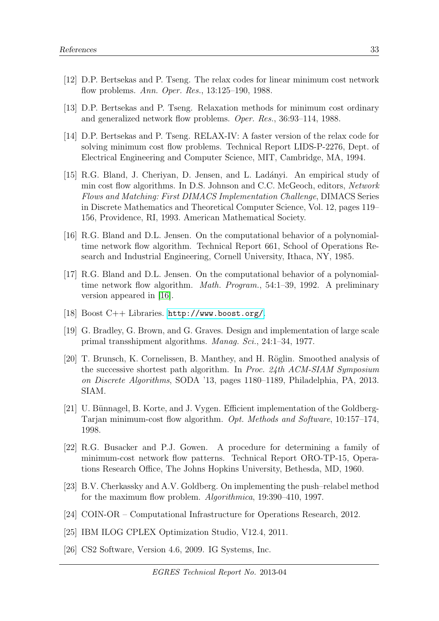- <span id="page-33-13"></span>[12] D.P. Bertsekas and P. Tseng. The relax codes for linear minimum cost network flow problems. Ann. Oper. Res., 13:125–190, 1988.
- <span id="page-33-1"></span>[13] D.P. Bertsekas and P. Tseng. Relaxation methods for minimum cost ordinary and generalized network flow problems. Oper. Res., 36:93–114, 1988.
- <span id="page-33-2"></span>[14] D.P. Bertsekas and P. Tseng. RELAX-IV: A faster version of the relax code for solving minimum cost flow problems. Technical Report LIDS-P-2276, Dept. of Electrical Engineering and Computer Science, MIT, Cambridge, MA, 1994.
- <span id="page-33-5"></span>[15] R.G. Bland, J. Cheriyan, D. Jensen, and L. Lad´anyi. An empirical study of min cost flow algorithms. In D.S. Johnson and C.C. McGeoch, editors, Network Flows and Matching: First DIMACS Implementation Challenge, DIMACS Series in Discrete Mathematics and Theoretical Computer Science, Vol. 12, pages 119– 156, Providence, RI, 1993. American Mathematical Society.
- <span id="page-33-3"></span>[16] R.G. Bland and D.L. Jensen. On the computational behavior of a polynomialtime network flow algorithm. Technical Report 661, School of Operations Research and Industrial Engineering, Cornell University, Ithaca, NY, 1985.
- <span id="page-33-4"></span>[17] R.G. Bland and D.L. Jensen. On the computational behavior of a polynomialtime network flow algorithm. Math. Program., 54:1–39, 1992. A preliminary version appeared in [\[16\]](#page-33-3).
- <span id="page-33-14"></span>[18] Boost C++ Libraries. <http://www.boost.org/>.
- <span id="page-33-0"></span>[19] G. Bradley, G. Brown, and G. Graves. Design and implementation of large scale primal transshipment algorithms. Manag. Sci., 24:1–34, 1977.
- <span id="page-33-7"></span>[20] T. Brunsch, K. Cornelissen, B. Manthey, and H. Röglin. Smoothed analysis of the successive shortest path algorithm. In Proc. 24th ACM-SIAM Symposium on Discrete Algorithms, SODA '13, pages 1180–1189, Philadelphia, PA, 2013. SIAM.
- <span id="page-33-6"></span>[21] U. Bünnagel, B. Korte, and J. Vygen. Efficient implementation of the Goldberg-Tarjan minimum-cost flow algorithm. Opt. Methods and Software, 10:157–174, 1998.
- <span id="page-33-11"></span>[22] R.G. Busacker and P.J. Gowen. A procedure for determining a family of minimum-cost network flow patterns. Technical Report ORO-TP-15, Operations Research Office, The Johns Hopkins University, Bethesda, MD, 1960.
- <span id="page-33-12"></span>[23] B.V. Cherkassky and A.V. Goldberg. On implementing the push–relabel method for the maximum flow problem. Algorithmica, 19:390–410, 1997.
- <span id="page-33-10"></span>[24] COIN-OR – Computational Infrastructure for Operations Research, 2012.
- <span id="page-33-9"></span>[25] IBM ILOG CPLEX Optimization Studio, V12.4, 2011.
- <span id="page-33-8"></span>[26] CS2 Software, Version 4.6, 2009. IG Systems, Inc.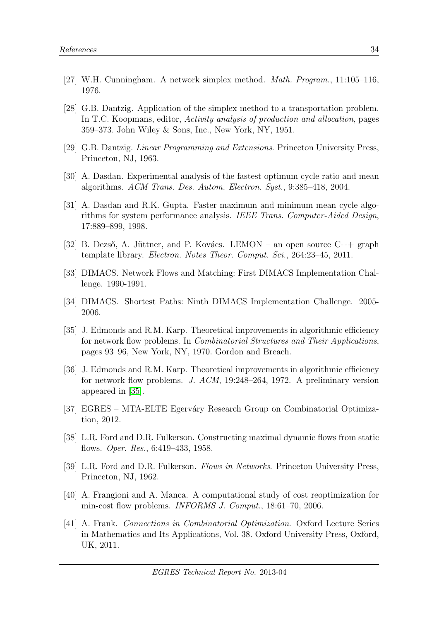- <span id="page-34-13"></span>[27] W.H. Cunningham. A network simplex method. Math. Program., 11:105–116, 1976.
- <span id="page-34-12"></span>[28] G.B. Dantzig. Application of the simplex method to a transportation problem. In T.C. Koopmans, editor, Activity analysis of production and allocation, pages 359–373. John Wiley & Sons, Inc., New York, NY, 1951.
- <span id="page-34-4"></span>[29] G.B. Dantzig. Linear Programming and Extensions. Princeton University Press, Princeton, NJ, 1963.
- <span id="page-34-11"></span>[30] A. Dasdan. Experimental analysis of the fastest optimum cycle ratio and mean algorithms. ACM Trans. Des. Autom. Electron. Syst., 9:385–418, 2004.
- <span id="page-34-10"></span>[31] A. Dasdan and R.K. Gupta. Faster maximum and minimum mean cycle algorithms for system performance analysis. IEEE Trans. Computer-Aided Design, 17:889–899, 1998.
- <span id="page-34-7"></span>[32] B. Dezső, A. Jüttner, and P. Kovács. LEMON – an open source  $C++$  graph template library. Electron. Notes Theor. Comput. Sci., 264:23–45, 2011.
- <span id="page-34-1"></span>[33] DIMACS. Network Flows and Matching: First DIMACS Implementation Challenge. 1990-1991.
- <span id="page-34-14"></span>[34] DIMACS. Shortest Paths: Ninth DIMACS Implementation Challenge. 2005- 2006.
- <span id="page-34-9"></span>[35] J. Edmonds and R.M. Karp. Theoretical improvements in algorithmic efficiency for network flow problems. In Combinatorial Structures and Their Applications, pages 93–96, New York, NY, 1970. Gordon and Breach.
- <span id="page-34-5"></span>[36] J. Edmonds and R.M. Karp. Theoretical improvements in algorithmic efficiency for network flow problems. J. ACM, 19:248–264, 1972. A preliminary version appeared in [\[35\]](#page-34-9).
- <span id="page-34-6"></span>[37] EGRES – MTA-ELTE Egerváry Research Group on Combinatorial Optimization, 2012.
- <span id="page-34-8"></span>[38] L.R. Ford and D.R. Fulkerson. Constructing maximal dynamic flows from static flows. Oper. Res., 6:419–433, 1958.
- <span id="page-34-2"></span>[39] L.R. Ford and D.R. Fulkerson. Flows in Networks. Princeton University Press, Princeton, NJ, 1962.
- <span id="page-34-0"></span>[40] A. Frangioni and A. Manca. A computational study of cost reoptimization for min-cost flow problems. INFORMS J. Comput., 18:61–70, 2006.
- <span id="page-34-3"></span>[41] A. Frank. Connections in Combinatorial Optimization. Oxford Lecture Series in Mathematics and Its Applications, Vol. 38. Oxford University Press, Oxford, UK, 2011.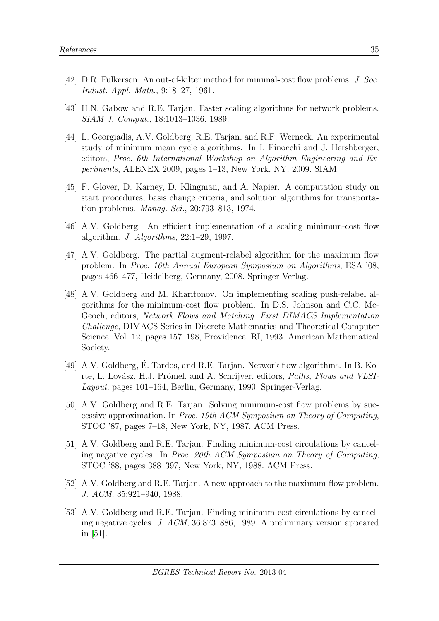- <span id="page-35-5"></span>[42] D.R. Fulkerson. An out-of-kilter method for minimal-cost flow problems. J. Soc. Indust. Appl. Math., 9:18–27, 1961.
- <span id="page-35-9"></span>[43] H.N. Gabow and R.E. Tarjan. Faster scaling algorithms for network problems. SIAM J. Comput., 18:1013–1036, 1989.
- <span id="page-35-10"></span>[44] L. Georgiadis, A.V. Goldberg, R.E. Tarjan, and R.F. Werneck. An experimental study of minimum mean cycle algorithms. In I. Finocchi and J. Hershberger, editors, Proc. 6th International Workshop on Algorithm Engineering and Experiments, ALENEX 2009, pages 1–13, New York, NY, 2009. SIAM.
- <span id="page-35-0"></span>[45] F. Glover, D. Karney, D. Klingman, and A. Napier. A computation study on start procedures, basis change criteria, and solution algorithms for transportation problems. Manag. Sci., 20:793–813, 1974.
- <span id="page-35-2"></span>[46] A.V. Goldberg. An efficient implementation of a scaling minimum-cost flow algorithm. J. Algorithms, 22:1–29, 1997.
- <span id="page-35-3"></span>[47] A.V. Goldberg. The partial augment-relabel algorithm for the maximum flow problem. In Proc. 16th Annual European Symposium on Algorithms, ESA '08, pages 466–477, Heidelberg, Germany, 2008. Springer-Verlag.
- <span id="page-35-1"></span>[48] A.V. Goldberg and M. Kharitonov. On implementing scaling push-relabel algorithms for the minimum-cost flow problem. In D.S. Johnson and C.C. Mc-Geoch, editors, Network Flows and Matching: First DIMACS Implementation Challenge, DIMACS Series in Discrete Mathematics and Theoretical Computer Science, Vol. 12, pages 157–198, Providence, RI, 1993. American Mathematical Society.
- <span id="page-35-4"></span>[49] A.V. Goldberg, É. Tardos, and R.E. Tarjan. Network flow algorithms. In B. Korte, L. Lovász, H.J. Prömel, and A. Schrijver, editors, Paths, Flows and VLSI-Layout, pages 101–164, Berlin, Germany, 1990. Springer-Verlag.
- <span id="page-35-6"></span>[50] A.V. Goldberg and R.E. Tarjan. Solving minimum-cost flow problems by successive approximation. In Proc. 19th ACM Symposium on Theory of Computing, STOC '87, pages 7–18, New York, NY, 1987. ACM Press.
- <span id="page-35-7"></span>[51] A.V. Goldberg and R.E. Tarjan. Finding minimum-cost circulations by canceling negative cycles. In Proc. 20th ACM Symposium on Theory of Computing, STOC '88, pages 388–397, New York, NY, 1988. ACM Press.
- <span id="page-35-11"></span>[52] A.V. Goldberg and R.E. Tarjan. A new approach to the maximum-flow problem. J. ACM, 35:921–940, 1988.
- <span id="page-35-8"></span>[53] A.V. Goldberg and R.E. Tarjan. Finding minimum-cost circulations by canceling negative cycles. J. ACM, 36:873–886, 1989. A preliminary version appeared in [\[51\]](#page-35-7).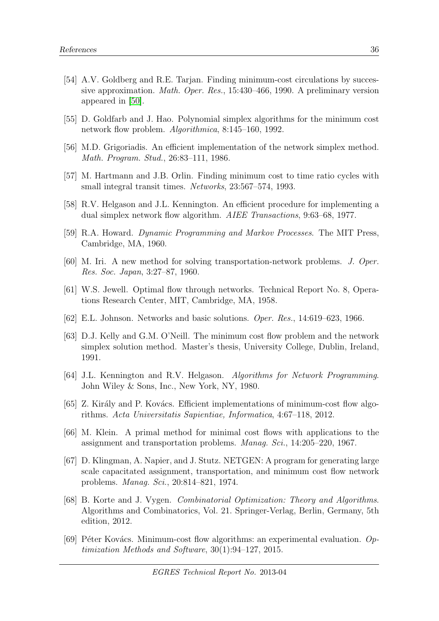- <span id="page-36-8"></span>[54] A.V. Goldberg and R.E. Tarjan. Finding minimum-cost circulations by successive approximation. Math. Oper. Res., 15:430–466, 1990. A preliminary version appeared in [\[50\]](#page-35-6).
- <span id="page-36-12"></span>[55] D. Goldfarb and J. Hao. Polynomial simplex algorithms for the minimum cost network flow problem. Algorithmica, 8:145–160, 1992.
- <span id="page-36-3"></span>[56] M.D. Grigoriadis. An efficient implementation of the network simplex method. Math. Program. Stud., 26:83–111, 1986.
- <span id="page-36-10"></span>[57] M. Hartmann and J.B. Orlin. Finding minimum cost to time ratio cycles with small integral transit times. Networks, 23:567–574, 1993.
- <span id="page-36-2"></span>[58] R.V. Helgason and J.L. Kennington. An efficient procedure for implementing a dual simplex network flow algorithm. AIEE Transactions, 9:63–68, 1977.
- <span id="page-36-9"></span>[59] R.A. Howard. Dynamic Programming and Markov Processes. The MIT Press, Cambridge, MA, 1960.
- <span id="page-36-7"></span>[60] M. Iri. A new method for solving transportation-network problems. J. Oper. Res. Soc. Japan, 3:27–87, 1960.
- <span id="page-36-6"></span>[61] W.S. Jewell. Optimal flow through networks. Technical Report No. 8, Operations Research Center, MIT, Cambridge, MA, 1958.
- <span id="page-36-14"></span>[62] E.L. Johnson. Networks and basic solutions. Oper. Res., 14:619–623, 1966.
- <span id="page-36-13"></span>[63] D.J. Kelly and G.M. O'Neill. The minimum cost flow problem and the network simplex solution method. Master's thesis, University College, Dublin, Ireland, 1991.
- <span id="page-36-11"></span>[64] J.L. Kennington and R.V. Helgason. Algorithms for Network Programming. John Wiley & Sons, Inc., New York, NY, 1980.
- <span id="page-36-4"></span>[65] Z. Király and P. Kovács. Efficient implementations of minimum-cost flow algorithms. Acta Universitatis Sapientiae, Informatica, 4:67–118, 2012.
- <span id="page-36-5"></span>[66] M. Klein. A primal method for minimal cost flows with applications to the assignment and transportation problems. Manag. Sci., 14:205–220, 1967.
- <span id="page-36-15"></span>[67] D. Klingman, A. Napier, and J. Stutz. NETGEN: A program for generating large scale capacitated assignment, transportation, and minimum cost flow network problems. Manag. Sci., 20:814–821, 1974.
- <span id="page-36-1"></span>[68] B. Korte and J. Vygen. Combinatorial Optimization: Theory and Algorithms. Algorithms and Combinatorics, Vol. 21. Springer-Verlag, Berlin, Germany, 5th edition, 2012.
- <span id="page-36-0"></span>[69] Péter Kovács. Minimum-cost flow algorithms: an experimental evaluation. Optimization Methods and Software, 30(1):94–127, 2015.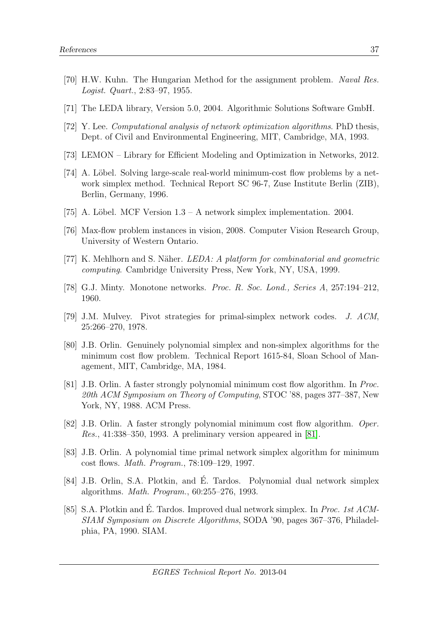- <span id="page-37-4"></span>[70] H.W. Kuhn. The Hungarian Method for the assignment problem. Naval Res. Logist. Quart., 2:83–97, 1955.
- <span id="page-37-2"></span>[71] The LEDA library, Version 5.0, 2004. Algorithmic Solutions Software GmbH.
- <span id="page-37-14"></span>[72] Y. Lee. Computational analysis of network optimization algorithms. PhD thesis, Dept. of Civil and Environmental Engineering, MIT, Cambridge, MA, 1993.
- <span id="page-37-1"></span>[73] LEMON – Library for Efficient Modeling and Optimization in Networks, 2012.
- <span id="page-37-0"></span>[74] A. Löbel. Solving large-scale real-world minimum-cost flow problems by a network simplex method. Technical Report SC 96-7, Zuse Institute Berlin (ZIB), Berlin, Germany, 1996.
- <span id="page-37-3"></span>[75] A. Löbel. MCF Version  $1.3 - A$  network simplex implementation. 2004.
- <span id="page-37-15"></span>[76] Max-flow problem instances in vision, 2008. Computer Vision Research Group, University of Western Ontario.
- <span id="page-37-13"></span>[77] K. Mehlhorn and S. Näher. *LEDA: A platform for combinatorial and geometric* computing. Cambridge University Press, New York, NY, USA, 1999.
- <span id="page-37-5"></span>[78] G.J. Minty. Monotone networks. Proc. R. Soc. Lond., Series A, 257:194–212, 1960.
- <span id="page-37-12"></span>[79] J.M. Mulvey. Pivot strategies for primal-simplex network codes. J. ACM, 25:266–270, 1978.
- <span id="page-37-10"></span>[80] J.B. Orlin. Genuinely polynomial simplex and non-simplex algorithms for the minimum cost flow problem. Technical Report 1615-84, Sloan School of Management, MIT, Cambridge, MA, 1984.
- <span id="page-37-7"></span>[81] J.B. Orlin. A faster strongly polynomial minimum cost flow algorithm. In Proc. 20th ACM Symposium on Theory of Computing, STOC '88, pages 377–387, New York, NY, 1988. ACM Press.
- <span id="page-37-8"></span>[82] J.B. Orlin. A faster strongly polynomial minimum cost flow algorithm. Oper. *Res.*, 41:338–350, 1993. A preliminary version appeared in [\[81\]](#page-37-7).
- <span id="page-37-6"></span>[83] J.B. Orlin. A polynomial time primal network simplex algorithm for minimum cost flows. Math. Program., 78:109–129, 1997.
- <span id="page-37-9"></span>[84] J.B. Orlin, S.A. Plotkin, and É. Tardos. Polynomial dual network simplex algorithms. Math. Program., 60:255–276, 1993.
- <span id="page-37-11"></span>[85] S.A. Plotkin and E. Tardos. Improved dual network simplex. In *Proc. 1st ACM*-SIAM Symposium on Discrete Algorithms, SODA '90, pages 367–376, Philadelphia, PA, 1990. SIAM.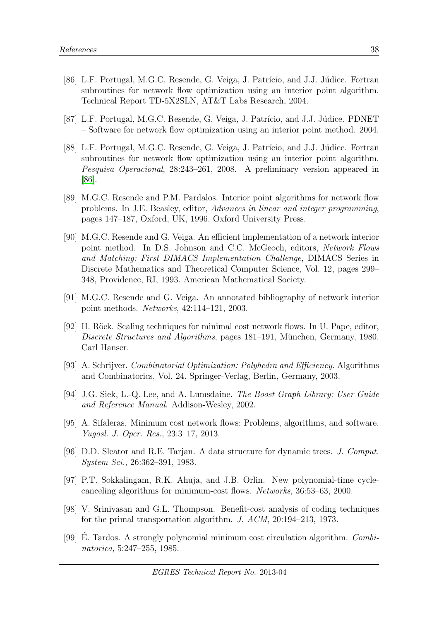- <span id="page-38-3"></span>[86] L.F. Portugal, M.G.C. Resende, G. Veiga, J. Patrício, and J.J. Júdice. Fortran subroutines for network flow optimization using an interior point algorithm. Technical Report TD-5X2SLN, AT&T Labs Research, 2004.
- <span id="page-38-5"></span>[87] L.F. Portugal, M.G.C. Resende, G. Veiga, J. Patrício, and J.J. Júdice. PDNET – Software for network flow optimization using an interior point method. 2004.
- <span id="page-38-4"></span>[88] L.F. Portugal, M.G.C. Resende, G. Veiga, J. Patrício, and J.J. Júdice. Fortran subroutines for network flow optimization using an interior point algorithm. Pesquisa Operacional, 28:243–261, 2008. A preliminary version appeared in [\[86\]](#page-38-3).
- <span id="page-38-11"></span>[89] M.G.C. Resende and P.M. Pardalos. Interior point algorithms for network flow problems. In J.E. Beasley, editor, Advances in linear and integer programming, pages 147–187, Oxford, UK, 1996. Oxford University Press.
- <span id="page-38-2"></span>[90] M.G.C. Resende and G. Veiga. An efficient implementation of a network interior point method. In D.S. Johnson and C.C. McGeoch, editors, Network Flows and Matching: First DIMACS Implementation Challenge, DIMACS Series in Discrete Mathematics and Theoretical Computer Science, Vol. 12, pages 299– 348, Providence, RI, 1993. American Mathematical Society.
- <span id="page-38-12"></span>[91] M.G.C. Resende and G. Veiga. An annotated bibliography of network interior point methods. Networks, 42:114–121, 2003.
- <span id="page-38-7"></span>[92] H. Röck. Scaling techniques for minimal cost network flows. In U. Pape, editor, Discrete Structures and Algorithms, pages 181–191, München, Germany, 1980. Carl Hanser.
- <span id="page-38-0"></span>[93] A. Schrijver. Combinatorial Optimization: Polyhedra and Efficiency. Algorithms and Combinatorics, Vol. 24. Springer-Verlag, Berlin, Germany, 2003.
- <span id="page-38-13"></span>[94] J.G. Siek, L.-Q. Lee, and A. Lumsdaine. The Boost Graph Library: User Guide and Reference Manual. Addison-Wesley, 2002.
- <span id="page-38-1"></span>[95] A. Sifaleras. Minimum cost network flows: Problems, algorithms, and software. Yugosl. J. Oper. Res., 23:3–17, 2013.
- <span id="page-38-9"></span>[96] D.D. Sleator and R.E. Tarjan. A data structure for dynamic trees. J. Comput. System Sci., 26:362–391, 1983.
- <span id="page-38-8"></span>[97] P.T. Sokkalingam, R.K. Ahuja, and J.B. Orlin. New polynomial-time cyclecanceling algorithms for minimum-cost flows. Networks, 36:53–63, 2000.
- <span id="page-38-10"></span>[98] V. Srinivasan and G.L. Thompson. Benefit-cost analysis of coding techniques for the primal transportation algorithm. J. ACM, 20:194–213, 1973.
- <span id="page-38-6"></span>[99] E. Tardos. A strongly polynomial minimum cost circulation algorithm.  $Comb_i$ natorica, 5:247–255, 1985.